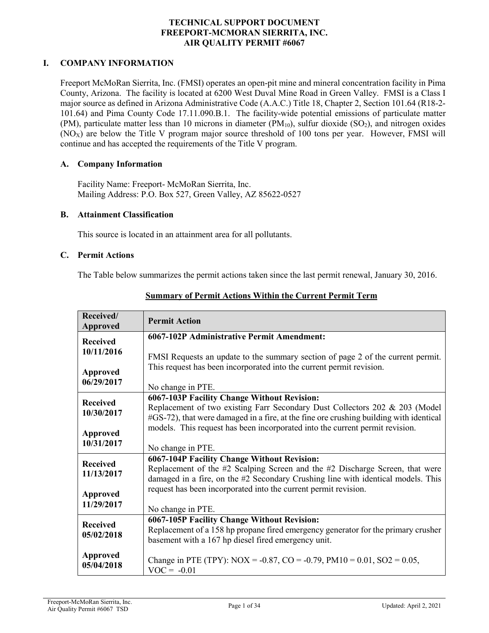#### **TECHNICAL SUPPORT DOCUMENT FREEPORT-MCMORAN SIERRITA, INC. AIR QUALITY PERMIT #6067**

#### **I. COMPANY INFORMATION**

Freeport McMoRan Sierrita, Inc. (FMSI) operates an open-pit mine and mineral concentration facility in Pima County, Arizona. The facility is located at 6200 West Duval Mine Road in Green Valley. FMSI is a Class I major source as defined in Arizona Administrative Code (A.A.C.) Title 18, Chapter 2, Section 101.64 (R18-2- 101.64) and Pima County Code 17.11.090.B.1. The facility-wide potential emissions of particulate matter (PM), particulate matter less than 10 microns in diameter (PM $_{10}$ ), sulfur dioxide (SO<sub>2</sub>), and nitrogen oxides  $(NO<sub>X</sub>)$  are below the Title V program major source threshold of 100 tons per year. However, FMSI will continue and has accepted the requirements of the Title V program.

#### **A. Company Information**

Facility Name: Freeport- McMoRan Sierrita, Inc. Mailing Address: P.O. Box 527, Green Valley, AZ 85622-0527

#### **B. Attainment Classification**

This source is located in an attainment area for all pollutants.

#### **C. Permit Actions**

The Table below summarizes the permit actions taken since the last permit renewal, January 30, 2016.

| Received/<br>Approved         | <b>Permit Action</b>                                                                                                                                                  |
|-------------------------------|-----------------------------------------------------------------------------------------------------------------------------------------------------------------------|
| <b>Received</b><br>10/11/2016 | 6067-102P Administrative Permit Amendment:                                                                                                                            |
| <b>Approved</b>               | FMSI Requests an update to the summary section of page 2 of the current permit.<br>This request has been incorporated into the current permit revision.               |
| 06/29/2017                    | No change in PTE.                                                                                                                                                     |
| <b>Received</b>               | 6067-103P Facility Change Without Revision:                                                                                                                           |
| 10/30/2017                    | Replacement of two existing Farr Secondary Dust Collectors 202 & 203 (Model<br>#GS-72), that were damaged in a fire, at the fine ore crushing building with identical |
| Approved                      | models. This request has been incorporated into the current permit revision.                                                                                          |
| 10/31/2017                    | No change in PTE.                                                                                                                                                     |
| <b>Received</b>               | 6067-104P Facility Change Without Revision:                                                                                                                           |
| 11/13/2017                    | Replacement of the #2 Scalping Screen and the #2 Discharge Screen, that were<br>damaged in a fire, on the #2 Secondary Crushing line with identical models. This      |
| Approved                      | request has been incorporated into the current permit revision.                                                                                                       |
| 11/29/2017                    | No change in PTE.                                                                                                                                                     |
| <b>Received</b>               | 6067-105P Facility Change Without Revision:                                                                                                                           |
| 05/02/2018                    | Replacement of a 158 hp propane fired emergency generator for the primary crusher<br>basement with a 167 hp diesel fired emergency unit.                              |
| <b>Approved</b><br>05/04/2018 | Change in PTE (TPY): NOX = -0.87, CO = -0.79, PM10 = 0.01, SO2 = 0.05,<br>$VOC = -0.01$                                                                               |

#### **Summary of Permit Actions Within the Current Permit Term**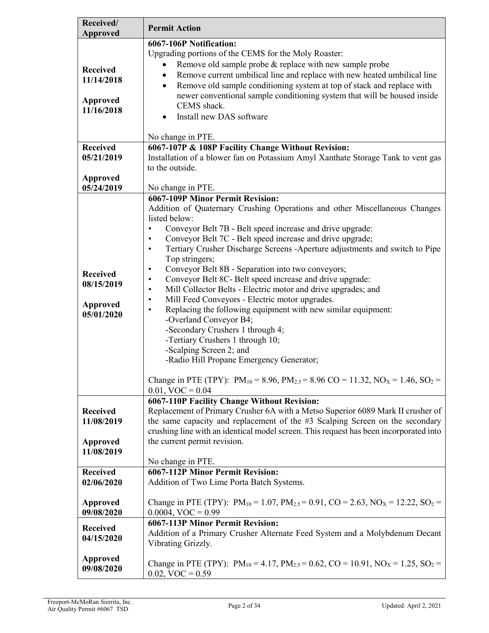| Received/                     | <b>Permit Action</b>                                                                                              |
|-------------------------------|-------------------------------------------------------------------------------------------------------------------|
| <b>Approved</b>               |                                                                                                                   |
|                               | 6067-106P Notification:                                                                                           |
|                               | Upgrading portions of the CEMS for the Moly Roaster:                                                              |
| <b>Received</b>               | Remove old sample probe & replace with new sample probe                                                           |
| 11/14/2018                    | Remove current umbilical line and replace with new heated umbilical line<br>$\bullet$                             |
|                               | Remove old sample conditioning system at top of stack and replace with<br>$\bullet$                               |
| Approved                      | newer conventional sample conditioning system that will be housed inside<br>CEMS shack.                           |
| 11/16/2018                    | Install new DAS software                                                                                          |
|                               | $\bullet$                                                                                                         |
|                               | No change in PTE.                                                                                                 |
| <b>Received</b>               | 6067-107P & 108P Facility Change Without Revision:                                                                |
| 05/21/2019                    | Installation of a blower fan on Potassium Amyl Xanthate Storage Tank to vent gas                                  |
|                               | to the outside.                                                                                                   |
| <b>Approved</b>               |                                                                                                                   |
| 05/24/2019                    | No change in PTE.                                                                                                 |
|                               | <b>6067-109P Minor Permit Revision:</b>                                                                           |
|                               | Addition of Quaternary Crushing Operations and other Miscellaneous Changes                                        |
|                               | listed below:                                                                                                     |
|                               | Conveyor Belt 7B - Belt speed increase and drive upgrade:                                                         |
|                               | Conveyor Belt 7C - Belt speed increase and drive upgrade;                                                         |
|                               | Tertiary Crusher Discharge Screens -Aperture adjustments and switch to Pipe<br>$\bullet$                          |
|                               | Top stringers;                                                                                                    |
| <b>Received</b>               | Conveyor Belt 8B - Separation into two conveyors;<br>٠                                                            |
| 08/15/2019                    | Conveyor Belt 8C- Belt speed increase and drive upgrade:<br>٠                                                     |
|                               | Mill Collector Belts - Electric motor and drive upgrades; and<br>$\bullet$                                        |
| <b>Approved</b>               | Mill Feed Conveyors - Electric motor upgrades.<br>٠                                                               |
| 05/01/2020                    | Replacing the following equipment with new similar equipment:<br>$\bullet$<br>-Overland Conveyor B4;              |
|                               | -Secondary Crushers 1 through 4;                                                                                  |
|                               | -Tertiary Crushers 1 through 10;                                                                                  |
|                               | -Scalping Screen 2; and                                                                                           |
|                               | -Radio Hill Propane Emergency Generator;                                                                          |
|                               |                                                                                                                   |
|                               | Change in PTE (TPY): $PM_{10} = 8.96$ , $PM_{2.5} = 8.96$ CO = 11.32, NO <sub>X</sub> = 1.46, SO <sub>2</sub> =   |
|                               | $0.01$ , VOC = $0.04$                                                                                             |
|                               | 6067-110P Facility Change Without Revision:                                                                       |
| <b>Received</b>               | Replacement of Primary Crusher 6A with a Metso Superior 6089 Mark II crusher of                                   |
| 11/08/2019                    | the same capacity and replacement of the #3 Scalping Screen on the secondary                                      |
|                               | crushing line with an identical model screen. This request has been incorporated into                             |
| Approved                      | the current permit revision.                                                                                      |
| 11/08/2019                    |                                                                                                                   |
| <b>Received</b>               | No change in PTE.<br>6067-112P Minor Permit Revision:                                                             |
| 02/06/2020                    | Addition of Two Lime Porta Batch Systems.                                                                         |
|                               |                                                                                                                   |
| <b>Approved</b>               | Change in PTE (TPY): $PM_{10} = 1.07$ , $PM_{2.5} = 0.91$ , CO = 2.63, NO <sub>x</sub> = 12.22, SO <sub>2</sub> = |
| 09/08/2020                    | $0.0004$ , VOC = 0.99                                                                                             |
|                               | 6067-113P Minor Permit Revision:                                                                                  |
| <b>Received</b><br>04/15/2020 | Addition of a Primary Crusher Alternate Feed System and a Molybdenum Decant                                       |
|                               | Vibrating Grizzly.                                                                                                |
| Approved                      |                                                                                                                   |
| 09/08/2020                    | Change in PTE (TPY): $PM_{10} = 4.17$ , $PM_{2.5} = 0.62$ , CO = 10.91, NO <sub>X</sub> = 1.25, SO <sub>2</sub> = |
|                               | $0.02$ , VOC = $0.59$                                                                                             |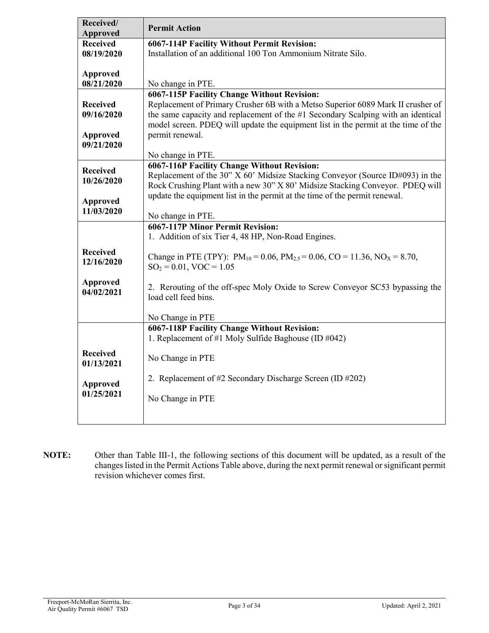| Received/<br><b>Approved</b>  | <b>Permit Action</b>                                                                                                                                           |
|-------------------------------|----------------------------------------------------------------------------------------------------------------------------------------------------------------|
| <b>Received</b>               | <b>6067-114P Facility Without Permit Revision:</b>                                                                                                             |
| 08/19/2020                    | Installation of an additional 100 Ton Ammonium Nitrate Silo.                                                                                                   |
|                               |                                                                                                                                                                |
| <b>Approved</b><br>08/21/2020 | No change in PTE.                                                                                                                                              |
|                               | 6067-115P Facility Change Without Revision:                                                                                                                    |
| <b>Received</b>               | Replacement of Primary Crusher 6B with a Metso Superior 6089 Mark II crusher of                                                                                |
| 09/16/2020                    | the same capacity and replacement of the #1 Secondary Scalping with an identical                                                                               |
|                               | model screen. PDEQ will update the equipment list in the permit at the time of the                                                                             |
| Approved                      | permit renewal.                                                                                                                                                |
| 09/21/2020                    |                                                                                                                                                                |
|                               | No change in PTE.                                                                                                                                              |
| <b>Received</b>               | <b>6067-116P Facility Change Without Revision:</b>                                                                                                             |
| 10/26/2020                    | Replacement of the 30" X 60' Midsize Stacking Conveyor (Source ID#093) in the<br>Rock Crushing Plant with a new 30" X 80' Midsize Stacking Conveyor. PDEQ will |
|                               | update the equipment list in the permit at the time of the permit renewal.                                                                                     |
| <b>Approved</b>               |                                                                                                                                                                |
| 11/03/2020                    | No change in PTE.                                                                                                                                              |
|                               | 6067-117P Minor Permit Revision:                                                                                                                               |
|                               | 1. Addition of six Tier 4, 48 HP, Non-Road Engines.                                                                                                            |
| <b>Received</b><br>12/16/2020 | Change in PTE (TPY): $PM_{10} = 0.06$ , $PM_{2.5} = 0.06$ , $CO = 11.36$ , $NOX = 8.70$ ,                                                                      |
|                               | $SO_2 = 0.01$ , VOC = 1.05                                                                                                                                     |
| <b>Approved</b>               | 2. Rerouting of the off-spec Moly Oxide to Screw Conveyor SC53 bypassing the                                                                                   |
| 04/02/2021                    | load cell feed bins.                                                                                                                                           |
|                               |                                                                                                                                                                |
|                               | No Change in PTE                                                                                                                                               |
|                               | 6067-118P Facility Change Without Revision:                                                                                                                    |
|                               | 1. Replacement of #1 Moly Sulfide Baghouse (ID #042)                                                                                                           |
| <b>Received</b>               | No Change in PTE                                                                                                                                               |
| 01/13/2021                    |                                                                                                                                                                |
|                               | 2. Replacement of #2 Secondary Discharge Screen (ID #202)                                                                                                      |
| Approved<br>01/25/2021        |                                                                                                                                                                |
|                               | No Change in PTE                                                                                                                                               |
|                               |                                                                                                                                                                |
|                               |                                                                                                                                                                |

**NOTE:** Other than Table III-1, the following sections of this document will be updated, as a result of the changes listed in the Permit Actions Table above, during the next permit renewal or significant permit revision whichever comes first.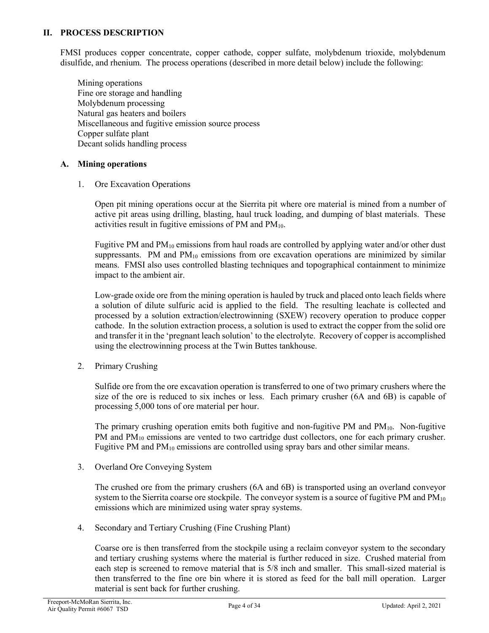#### **II. PROCESS DESCRIPTION**

FMSI produces copper concentrate, copper cathode, copper sulfate, molybdenum trioxide, molybdenum disulfide, and rhenium. The process operations (described in more detail below) include the following:

Mining operations Fine ore storage and handling Molybdenum processing Natural gas heaters and boilers Miscellaneous and fugitive emission source process Copper sulfate plant Decant solids handling process

#### **A. Mining operations**

1. Ore Excavation Operations

Open pit mining operations occur at the Sierrita pit where ore material is mined from a number of active pit areas using drilling, blasting, haul truck loading, and dumping of blast materials. These activities result in fugitive emissions of PM and  $PM_{10}$ .

Fugitive PM and  $PM_{10}$  emissions from haul roads are controlled by applying water and/or other dust suppressants. PM and  $PM_{10}$  emissions from ore excavation operations are minimized by similar means. FMSI also uses controlled blasting techniques and topographical containment to minimize impact to the ambient air.

Low-grade oxide ore from the mining operation is hauled by truck and placed onto leach fields where a solution of dilute sulfuric acid is applied to the field. The resulting leachate is collected and processed by a solution extraction/electrowinning (SXEW) recovery operation to produce copper cathode. In the solution extraction process, a solution is used to extract the copper from the solid ore and transfer it in the 'pregnant leach solution' to the electrolyte. Recovery of copper is accomplished using the electrowinning process at the Twin Buttes tankhouse.

2. Primary Crushing

Sulfide ore from the ore excavation operation is transferred to one of two primary crushers where the size of the ore is reduced to six inches or less. Each primary crusher (6A and 6B) is capable of processing 5,000 tons of ore material per hour.

The primary crushing operation emits both fugitive and non-fugitive PM and  $PM_{10}$ . Non-fugitive PM and  $PM_{10}$  emissions are vented to two cartridge dust collectors, one for each primary crusher. Fugitive PM and  $PM_{10}$  emissions are controlled using spray bars and other similar means.

3. Overland Ore Conveying System

The crushed ore from the primary crushers (6A and 6B) is transported using an overland conveyor system to the Sierrita coarse ore stockpile. The conveyor system is a source of fugitive PM and  $PM_{10}$ emissions which are minimized using water spray systems.

4. Secondary and Tertiary Crushing (Fine Crushing Plant)

Coarse ore is then transferred from the stockpile using a reclaim conveyor system to the secondary and tertiary crushing systems where the material is further reduced in size. Crushed material from each step is screened to remove material that is 5/8 inch and smaller. This small-sized material is then transferred to the fine ore bin where it is stored as feed for the ball mill operation. Larger material is sent back for further crushing.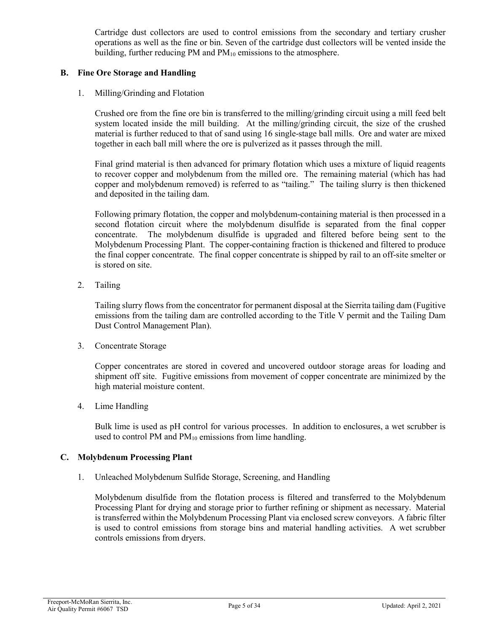Cartridge dust collectors are used to control emissions from the secondary and tertiary crusher operations as well as the fine or bin. Seven of the cartridge dust collectors will be vented inside the building, further reducing PM and  $PM_{10}$  emissions to the atmosphere.

#### **B. Fine Ore Storage and Handling**

1. Milling/Grinding and Flotation

Crushed ore from the fine ore bin is transferred to the milling/grinding circuit using a mill feed belt system located inside the mill building. At the milling/grinding circuit, the size of the crushed material is further reduced to that of sand using 16 single-stage ball mills. Ore and water are mixed together in each ball mill where the ore is pulverized as it passes through the mill.

Final grind material is then advanced for primary flotation which uses a mixture of liquid reagents to recover copper and molybdenum from the milled ore. The remaining material (which has had copper and molybdenum removed) is referred to as "tailing." The tailing slurry is then thickened and deposited in the tailing dam.

Following primary flotation, the copper and molybdenum-containing material is then processed in a second flotation circuit where the molybdenum disulfide is separated from the final copper concentrate. The molybdenum disulfide is upgraded and filtered before being sent to the Molybdenum Processing Plant. The copper-containing fraction is thickened and filtered to produce the final copper concentrate. The final copper concentrate is shipped by rail to an off-site smelter or is stored on site.

2. Tailing

Tailing slurry flows from the concentrator for permanent disposal at the Sierrita tailing dam (Fugitive emissions from the tailing dam are controlled according to the Title V permit and the Tailing Dam Dust Control Management Plan).

3. Concentrate Storage

Copper concentrates are stored in covered and uncovered outdoor storage areas for loading and shipment off site. Fugitive emissions from movement of copper concentrate are minimized by the high material moisture content.

4. Lime Handling

Bulk lime is used as pH control for various processes. In addition to enclosures, a wet scrubber is used to control PM and  $PM_{10}$  emissions from lime handling.

### **C. Molybdenum Processing Plant**

1. Unleached Molybdenum Sulfide Storage, Screening, and Handling

Molybdenum disulfide from the flotation process is filtered and transferred to the Molybdenum Processing Plant for drying and storage prior to further refining or shipment as necessary. Material is transferred within the Molybdenum Processing Plant via enclosed screw conveyors. A fabric filter is used to control emissions from storage bins and material handling activities. A wet scrubber controls emissions from dryers.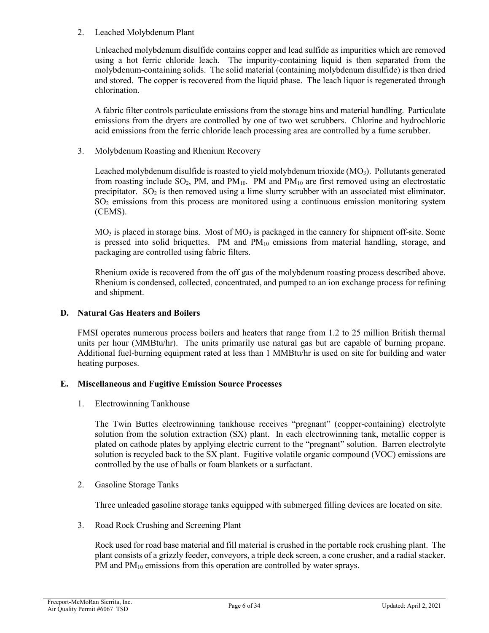#### 2. Leached Molybdenum Plant

Unleached molybdenum disulfide contains copper and lead sulfide as impurities which are removed using a hot ferric chloride leach. The impurity-containing liquid is then separated from the molybdenum-containing solids. The solid material (containing molybdenum disulfide) is then dried and stored. The copper is recovered from the liquid phase. The leach liquor is regenerated through chlorination.

A fabric filter controls particulate emissions from the storage bins and material handling. Particulate emissions from the dryers are controlled by one of two wet scrubbers. Chlorine and hydrochloric acid emissions from the ferric chloride leach processing area are controlled by a fume scrubber.

3. Molybdenum Roasting and Rhenium Recovery

Leached molybdenum disulfide is roasted to yield molybdenum trioxide  $(MO<sub>3</sub>)$ . Pollutants generated from roasting include  $SO_2$ , PM, and PM<sub>10</sub>. PM and PM<sub>10</sub> are first removed using an electrostatic precipitator.  $SO_2$  is then removed using a lime slurry scrubber with an associated mist eliminator. SO2 emissions from this process are monitored using a continuous emission monitoring system (CEMS).

 $MO<sub>3</sub>$  is placed in storage bins. Most of  $MO<sub>3</sub>$  is packaged in the cannery for shipment off-site. Some is pressed into solid briquettes. PM and PM<sub>10</sub> emissions from material handling, storage, and packaging are controlled using fabric filters.

Rhenium oxide is recovered from the off gas of the molybdenum roasting process described above. Rhenium is condensed, collected, concentrated, and pumped to an ion exchange process for refining and shipment.

#### **D. Natural Gas Heaters and Boilers**

FMSI operates numerous process boilers and heaters that range from 1.2 to 25 million British thermal units per hour (MMBtu/hr). The units primarily use natural gas but are capable of burning propane. Additional fuel-burning equipment rated at less than 1 MMBtu/hr is used on site for building and water heating purposes.

### **E. Miscellaneous and Fugitive Emission Source Processes**

1. Electrowinning Tankhouse

The Twin Buttes electrowinning tankhouse receives "pregnant" (copper-containing) electrolyte solution from the solution extraction (SX) plant. In each electrowinning tank, metallic copper is plated on cathode plates by applying electric current to the "pregnant" solution. Barren electrolyte solution is recycled back to the SX plant. Fugitive volatile organic compound (VOC) emissions are controlled by the use of balls or foam blankets or a surfactant.

2. Gasoline Storage Tanks

Three unleaded gasoline storage tanks equipped with submerged filling devices are located on site.

3. Road Rock Crushing and Screening Plant

Rock used for road base material and fill material is crushed in the portable rock crushing plant. The plant consists of a grizzly feeder, conveyors, a triple deck screen, a cone crusher, and a radial stacker. PM and  $PM_{10}$  emissions from this operation are controlled by water sprays.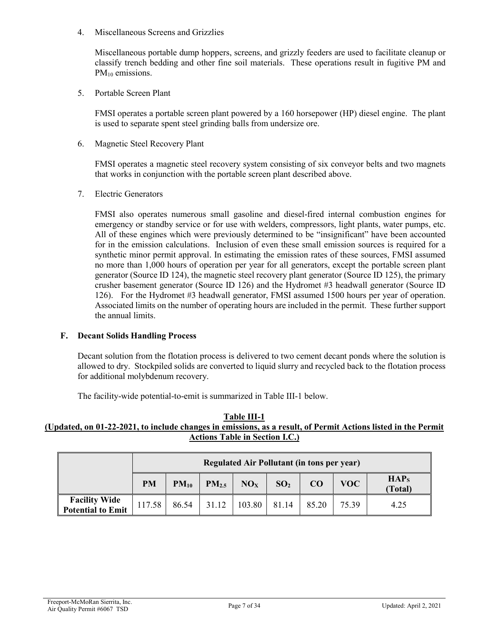4. Miscellaneous Screens and Grizzlies

Miscellaneous portable dump hoppers, screens, and grizzly feeders are used to facilitate cleanup or classify trench bedding and other fine soil materials. These operations result in fugitive PM and PM<sub>10</sub> emissions.

5. Portable Screen Plant

FMSI operates a portable screen plant powered by a 160 horsepower (HP) diesel engine. The plant is used to separate spent steel grinding balls from undersize ore.

6. Magnetic Steel Recovery Plant

FMSI operates a magnetic steel recovery system consisting of six conveyor belts and two magnets that works in conjunction with the portable screen plant described above.

7. Electric Generators

FMSI also operates numerous small gasoline and diesel-fired internal combustion engines for emergency or standby service or for use with welders, compressors, light plants, water pumps, etc. All of these engines which were previously determined to be "insignificant" have been accounted for in the emission calculations. Inclusion of even these small emission sources is required for a synthetic minor permit approval. In estimating the emission rates of these sources, FMSI assumed no more than 1,000 hours of operation per year for all generators, except the portable screen plant generator (Source ID 124), the magnetic steel recovery plant generator (Source ID 125), the primary crusher basement generator (Source ID 126) and the Hydromet #3 headwall generator (Source ID 126). For the Hydromet #3 headwall generator, FMSI assumed 1500 hours per year of operation. Associated limits on the number of operating hours are included in the permit. These further support the annual limits.

### **F. Decant Solids Handling Process**

Decant solution from the flotation process is delivered to two cement decant ponds where the solution is allowed to dry. Stockpiled solids are converted to liquid slurry and recycled back to the flotation process for additional molybdenum recovery.

The facility-wide potential-to-emit is summarized in Table III-1 below.

#### **Table III-1 (Updated, on 01-22-2021, to include changes in emissions, as a result, of Permit Actions listed in the Permit Actions Table in Section I.C.)**

|                                                  |           | Regulated Air Pollutant (in tons per year) |                   |                 |                 |       |       |                             |  |  |
|--------------------------------------------------|-----------|--------------------------------------------|-------------------|-----------------|-----------------|-------|-------|-----------------------------|--|--|
|                                                  | <b>PM</b> | $PM_{10}$                                  | PM <sub>2.5</sub> | NO <sub>x</sub> | SO <sub>2</sub> | CO    | VOC-  | HAP <sub>s</sub><br>(Total) |  |  |
| <b>Facility Wide</b><br><b>Potential to Emit</b> | 117.58    | 86.54                                      | 31.12             | 103.80          | 81.14           | 85.20 | 75.39 | 4.25                        |  |  |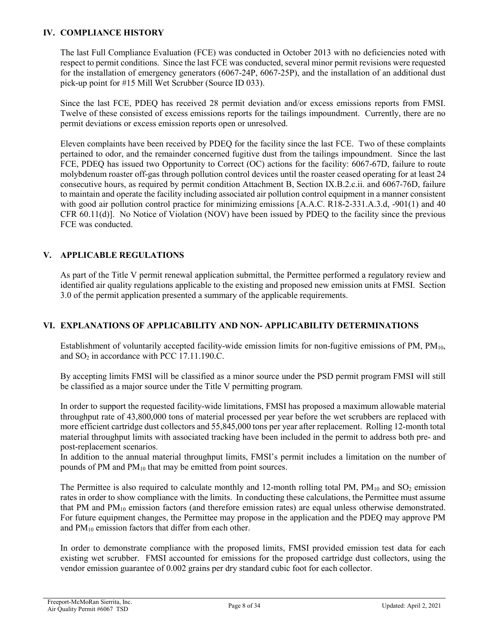#### **IV. COMPLIANCE HISTORY**

The last Full Compliance Evaluation (FCE) was conducted in October 2013 with no deficiencies noted with respect to permit conditions. Since the last FCE was conducted, several minor permit revisions were requested for the installation of emergency generators (6067-24P, 6067-25P), and the installation of an additional dust pick-up point for #15 Mill Wet Scrubber (Source ID 033).

Since the last FCE, PDEQ has received 28 permit deviation and/or excess emissions reports from FMSI. Twelve of these consisted of excess emissions reports for the tailings impoundment. Currently, there are no permit deviations or excess emission reports open or unresolved.

Eleven complaints have been received by PDEQ for the facility since the last FCE. Two of these complaints pertained to odor, and the remainder concerned fugitive dust from the tailings impoundment. Since the last FCE, PDEQ has issued two Opportunity to Correct (OC) actions for the facility: 6067-67D, failure to route molybdenum roaster off-gas through pollution control devices until the roaster ceased operating for at least 24 consecutive hours, as required by permit condition Attachment B, Section IX.B.2.c.ii. and 6067-76D, failure to maintain and operate the facility including associated air pollution control equipment in a manner consistent with good air pollution control practice for minimizing emissions [A.A.C. R18-2-331.A.3.d, -901(1) and 40 CFR 60.11(d)]. No Notice of Violation (NOV) have been issued by PDEQ to the facility since the previous FCE was conducted.

## **V. APPLICABLE REGULATIONS**

As part of the Title V permit renewal application submittal, the Permittee performed a regulatory review and identified air quality regulations applicable to the existing and proposed new emission units at FMSI. Section 3.0 of the permit application presented a summary of the applicable requirements.

### **VI. EXPLANATIONS OF APPLICABILITY AND NON- APPLICABILITY DETERMINATIONS**

Establishment of voluntarily accepted facility-wide emission limits for non-fugitive emissions of PM, PM10, and  $SO<sub>2</sub>$  in accordance with PCC 17.11.190.C.

By accepting limits FMSI will be classified as a minor source under the PSD permit program FMSI will still be classified as a major source under the Title V permitting program.

In order to support the requested facility-wide limitations, FMSI has proposed a maximum allowable material throughput rate of 43,800,000 tons of material processed per year before the wet scrubbers are replaced with more efficient cartridge dust collectors and 55,845,000 tons per year after replacement. Rolling 12-month total material throughput limits with associated tracking have been included in the permit to address both pre- and post-replacement scenarios.

In addition to the annual material throughput limits, FMSI's permit includes a limitation on the number of pounds of PM and  $PM_{10}$  that may be emitted from point sources.

The Permittee is also required to calculate monthly and 12-month rolling total PM,  $PM_{10}$  and  $SO_2$  emission rates in order to show compliance with the limits. In conducting these calculations, the Permittee must assume that PM and  $PM_{10}$  emission factors (and therefore emission rates) are equal unless otherwise demonstrated. For future equipment changes, the Permittee may propose in the application and the PDEQ may approve PM and PM10 emission factors that differ from each other.

In order to demonstrate compliance with the proposed limits, FMSI provided emission test data for each existing wet scrubber. FMSI accounted for emissions for the proposed cartridge dust collectors, using the vendor emission guarantee of 0.002 grains per dry standard cubic foot for each collector.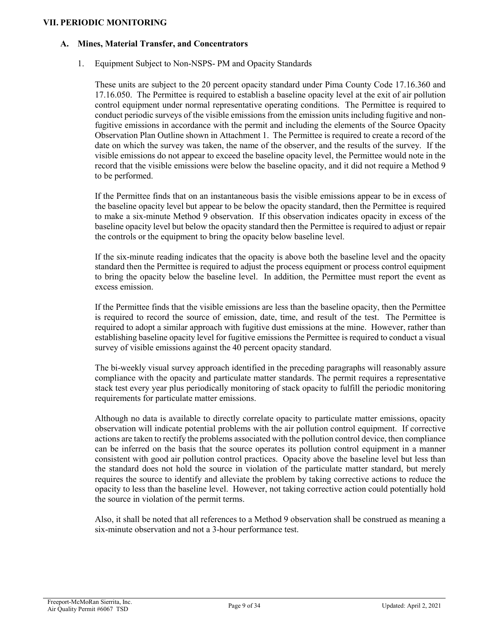#### **VII. PERIODIC MONITORING**

#### **A. Mines, Material Transfer, and Concentrators**

1. Equipment Subject to Non-NSPS- PM and Opacity Standards

These units are subject to the 20 percent opacity standard under Pima County Code 17.16.360 and 17.16.050. The Permittee is required to establish a baseline opacity level at the exit of air pollution control equipment under normal representative operating conditions. The Permittee is required to conduct periodic surveys of the visible emissions from the emission units including fugitive and nonfugitive emissions in accordance with the permit and including the elements of the Source Opacity Observation Plan Outline shown in Attachment 1. The Permittee is required to create a record of the date on which the survey was taken, the name of the observer, and the results of the survey. If the visible emissions do not appear to exceed the baseline opacity level, the Permittee would note in the record that the visible emissions were below the baseline opacity, and it did not require a Method 9 to be performed.

If the Permittee finds that on an instantaneous basis the visible emissions appear to be in excess of the baseline opacity level but appear to be below the opacity standard, then the Permittee is required to make a six-minute Method 9 observation. If this observation indicates opacity in excess of the baseline opacity level but below the opacity standard then the Permittee is required to adjust or repair the controls or the equipment to bring the opacity below baseline level.

If the six-minute reading indicates that the opacity is above both the baseline level and the opacity standard then the Permittee is required to adjust the process equipment or process control equipment to bring the opacity below the baseline level. In addition, the Permittee must report the event as excess emission.

If the Permittee finds that the visible emissions are less than the baseline opacity, then the Permittee is required to record the source of emission, date, time, and result of the test. The Permittee is required to adopt a similar approach with fugitive dust emissions at the mine. However, rather than establishing baseline opacity level for fugitive emissions the Permittee is required to conduct a visual survey of visible emissions against the 40 percent opacity standard.

The bi-weekly visual survey approach identified in the preceding paragraphs will reasonably assure compliance with the opacity and particulate matter standards. The permit requires a representative stack test every year plus periodically monitoring of stack opacity to fulfill the periodic monitoring requirements for particulate matter emissions.

Although no data is available to directly correlate opacity to particulate matter emissions, opacity observation will indicate potential problems with the air pollution control equipment. If corrective actions are taken to rectify the problems associated with the pollution control device, then compliance can be inferred on the basis that the source operates its pollution control equipment in a manner consistent with good air pollution control practices. Opacity above the baseline level but less than the standard does not hold the source in violation of the particulate matter standard, but merely requires the source to identify and alleviate the problem by taking corrective actions to reduce the opacity to less than the baseline level. However, not taking corrective action could potentially hold the source in violation of the permit terms.

Also, it shall be noted that all references to a Method 9 observation shall be construed as meaning a six-minute observation and not a 3-hour performance test.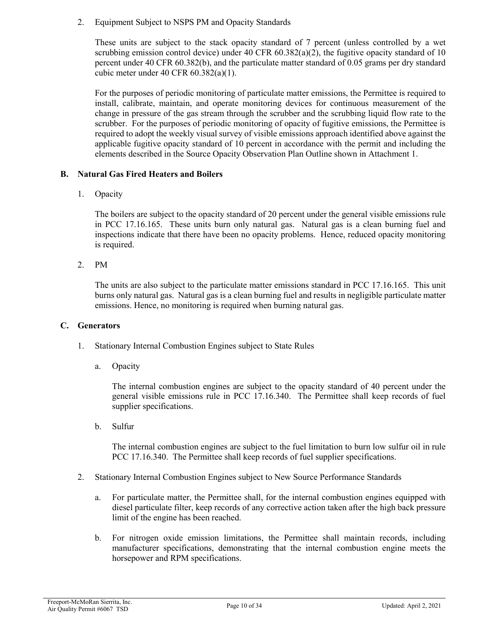2. Equipment Subject to NSPS PM and Opacity Standards

These units are subject to the stack opacity standard of 7 percent (unless controlled by a wet scrubbing emission control device) under 40 CFR  $60.382(a)(2)$ , the fugitive opacity standard of 10 percent under 40 CFR 60.382(b), and the particulate matter standard of 0.05 grams per dry standard cubic meter under 40 CFR 60.382(a)(1).

For the purposes of periodic monitoring of particulate matter emissions, the Permittee is required to install, calibrate, maintain, and operate monitoring devices for continuous measurement of the change in pressure of the gas stream through the scrubber and the scrubbing liquid flow rate to the scrubber. For the purposes of periodic monitoring of opacity of fugitive emissions, the Permittee is required to adopt the weekly visual survey of visible emissions approach identified above against the applicable fugitive opacity standard of 10 percent in accordance with the permit and including the elements described in the Source Opacity Observation Plan Outline shown in Attachment 1.

### **B. Natural Gas Fired Heaters and Boilers**

1. Opacity

The boilers are subject to the opacity standard of 20 percent under the general visible emissions rule in PCC 17.16.165. These units burn only natural gas. Natural gas is a clean burning fuel and inspections indicate that there have been no opacity problems. Hence, reduced opacity monitoring is required.

2. PM

The units are also subject to the particulate matter emissions standard in PCC 17.16.165. This unit burns only natural gas. Natural gas is a clean burning fuel and results in negligible particulate matter emissions. Hence, no monitoring is required when burning natural gas.

### **C. Generators**

- 1. Stationary Internal Combustion Engines subject to State Rules
	- a. Opacity

The internal combustion engines are subject to the opacity standard of 40 percent under the general visible emissions rule in PCC 17.16.340. The Permittee shall keep records of fuel supplier specifications.

b. Sulfur

The internal combustion engines are subject to the fuel limitation to burn low sulfur oil in rule PCC 17.16.340. The Permittee shall keep records of fuel supplier specifications.

- 2. Stationary Internal Combustion Engines subject to New Source Performance Standards
	- a. For particulate matter, the Permittee shall, for the internal combustion engines equipped with diesel particulate filter, keep records of any corrective action taken after the high back pressure limit of the engine has been reached.
	- b. For nitrogen oxide emission limitations, the Permittee shall maintain records, including manufacturer specifications, demonstrating that the internal combustion engine meets the horsepower and RPM specifications.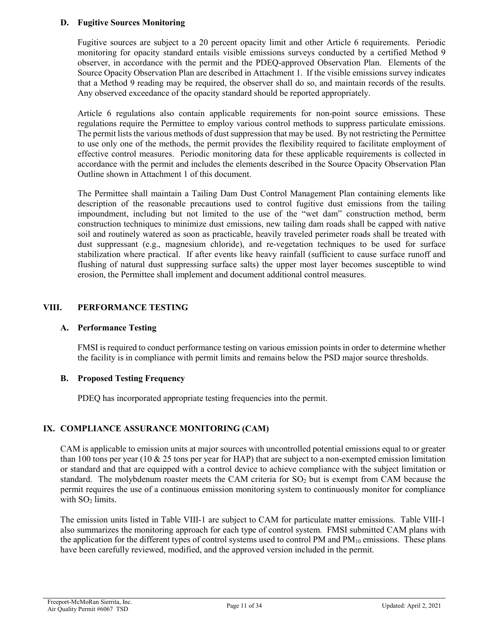### **D. Fugitive Sources Monitoring**

Fugitive sources are subject to a 20 percent opacity limit and other Article 6 requirements. Periodic monitoring for opacity standard entails visible emissions surveys conducted by a certified Method 9 observer, in accordance with the permit and the PDEQ-approved Observation Plan. Elements of the Source Opacity Observation Plan are described in Attachment 1. If the visible emissions survey indicates that a Method 9 reading may be required, the observer shall do so, and maintain records of the results. Any observed exceedance of the opacity standard should be reported appropriately.

Article 6 regulations also contain applicable requirements for non-point source emissions. These regulations require the Permittee to employ various control methods to suppress particulate emissions. The permit lists the various methods of dust suppression that may be used. By not restricting the Permittee to use only one of the methods, the permit provides the flexibility required to facilitate employment of effective control measures. Periodic monitoring data for these applicable requirements is collected in accordance with the permit and includes the elements described in the Source Opacity Observation Plan Outline shown in Attachment 1 of this document.

The Permittee shall maintain a Tailing Dam Dust Control Management Plan containing elements like description of the reasonable precautions used to control fugitive dust emissions from the tailing impoundment, including but not limited to the use of the "wet dam" construction method, berm construction techniques to minimize dust emissions, new tailing dam roads shall be capped with native soil and routinely watered as soon as practicable, heavily traveled perimeter roads shall be treated with dust suppressant (e.g., magnesium chloride), and re-vegetation techniques to be used for surface stabilization where practical. If after events like heavy rainfall (sufficient to cause surface runoff and flushing of natural dust suppressing surface salts) the upper most layer becomes susceptible to wind erosion, the Permittee shall implement and document additional control measures.

## **VIII. PERFORMANCE TESTING**

### **A. Performance Testing**

FMSI is required to conduct performance testing on various emission points in order to determine whether the facility is in compliance with permit limits and remains below the PSD major source thresholds.

### **B. Proposed Testing Frequency**

PDEQ has incorporated appropriate testing frequencies into the permit.

# **IX. COMPLIANCE ASSURANCE MONITORING (CAM)**

CAM is applicable to emission units at major sources with uncontrolled potential emissions equal to or greater than 100 tons per year (10  $\&$  25 tons per year for HAP) that are subject to a non-exempted emission limitation or standard and that are equipped with a control device to achieve compliance with the subject limitation or standard. The molybdenum roaster meets the CAM criteria for  $SO<sub>2</sub>$  but is exempt from CAM because the permit requires the use of a continuous emission monitoring system to continuously monitor for compliance with  $SO<sub>2</sub>$  limits.

The emission units listed in Table VIII-1 are subject to CAM for particulate matter emissions. Table VIII-1 also summarizes the monitoring approach for each type of control system. FMSI submitted CAM plans with the application for the different types of control systems used to control PM and PM<sub>10</sub> emissions. These plans have been carefully reviewed, modified, and the approved version included in the permit.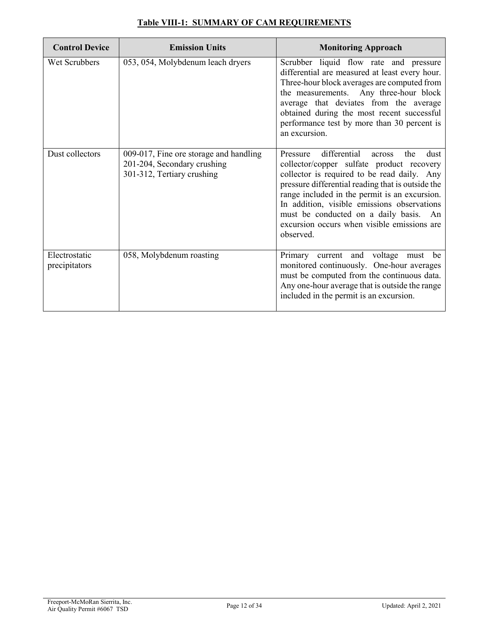| <b>Control Device</b>          | <b>Emission Units</b>                                                                               | <b>Monitoring Approach</b>                                                                                                                                                                                                                                                                                                                                                                               |
|--------------------------------|-----------------------------------------------------------------------------------------------------|----------------------------------------------------------------------------------------------------------------------------------------------------------------------------------------------------------------------------------------------------------------------------------------------------------------------------------------------------------------------------------------------------------|
| Wet Scrubbers                  | 053, 054, Molybdenum leach dryers                                                                   | Scrubber liquid flow rate and pressure<br>differential are measured at least every hour.<br>Three-hour block averages are computed from<br>the measurements. Any three-hour block<br>average that deviates from the average<br>obtained during the most recent successful<br>performance test by more than 30 percent is<br>an excursion.                                                                |
| Dust collectors                | 009-017, Fine ore storage and handling<br>201-204, Secondary crushing<br>301-312, Tertiary crushing | differential<br>Pressure<br>the<br>dust<br>across<br>collector/copper sulfate product recovery<br>collector is required to be read daily. Any<br>pressure differential reading that is outside the<br>range included in the permit is an excursion.<br>In addition, visible emissions observations<br>must be conducted on a daily basis. An<br>excursion occurs when visible emissions are<br>observed. |
| Electrostatic<br>precipitators | 058, Molybdenum roasting                                                                            | Primary current and voltage must be<br>monitored continuously. One-hour averages<br>must be computed from the continuous data.<br>Any one-hour average that is outside the range<br>included in the permit is an excursion.                                                                                                                                                                              |

# **Table VIII-1: SUMMARY OF CAM REQUIREMENTS**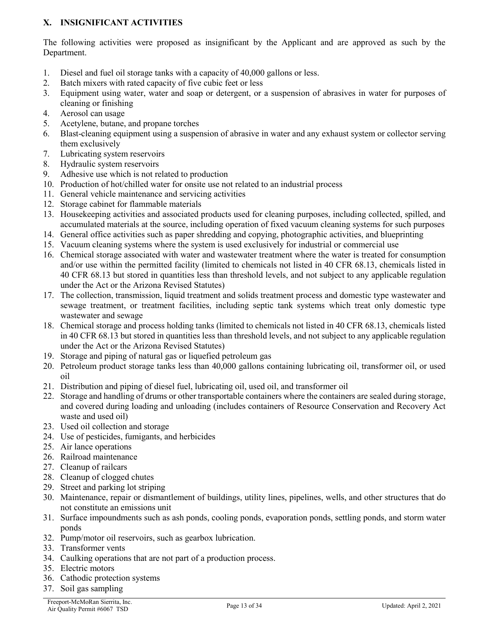# **X. INSIGNIFICANT ACTIVITIES**

The following activities were proposed as insignificant by the Applicant and are approved as such by the Department.

- 1. Diesel and fuel oil storage tanks with a capacity of 40,000 gallons or less.
- 2. Batch mixers with rated capacity of five cubic feet or less
- 3. Equipment using water, water and soap or detergent, or a suspension of abrasives in water for purposes of cleaning or finishing
- 4. Aerosol can usage
- 5. Acetylene, butane, and propane torches
- 6. Blast-cleaning equipment using a suspension of abrasive in water and any exhaust system or collector serving them exclusively
- 7. Lubricating system reservoirs
- 8. Hydraulic system reservoirs
- 9. Adhesive use which is not related to production
- 10. Production of hot/chilled water for onsite use not related to an industrial process
- 11. General vehicle maintenance and servicing activities
- 12. Storage cabinet for flammable materials
- 13. Housekeeping activities and associated products used for cleaning purposes, including collected, spilled, and accumulated materials at the source, including operation of fixed vacuum cleaning systems for such purposes
- 14. General office activities such as paper shredding and copying, photographic activities, and blueprinting
- 15. Vacuum cleaning systems where the system is used exclusively for industrial or commercial use
- 16. Chemical storage associated with water and wastewater treatment where the water is treated for consumption and/or use within the permitted facility (limited to chemicals not listed in 40 CFR 68.13, chemicals listed in 40 CFR 68.13 but stored in quantities less than threshold levels, and not subject to any applicable regulation under the Act or the Arizona Revised Statutes)
- 17. The collection, transmission, liquid treatment and solids treatment process and domestic type wastewater and sewage treatment, or treatment facilities, including septic tank systems which treat only domestic type wastewater and sewage
- 18. Chemical storage and process holding tanks (limited to chemicals not listed in 40 CFR 68.13, chemicals listed in 40 CFR 68.13 but stored in quantities less than threshold levels, and not subject to any applicable regulation under the Act or the Arizona Revised Statutes)
- 19. Storage and piping of natural gas or liquefied petroleum gas
- 20. Petroleum product storage tanks less than 40,000 gallons containing lubricating oil, transformer oil, or used oil
- 21. Distribution and piping of diesel fuel, lubricating oil, used oil, and transformer oil
- 22. Storage and handling of drums or other transportable containers where the containers are sealed during storage, and covered during loading and unloading (includes containers of Resource Conservation and Recovery Act waste and used oil)
- 23. Used oil collection and storage
- 24. Use of pesticides, fumigants, and herbicides
- 25. Air lance operations
- 26. Railroad maintenance
- 27. Cleanup of railcars
- 28. Cleanup of clogged chutes
- 29. Street and parking lot striping
- 30. Maintenance, repair or dismantlement of buildings, utility lines, pipelines, wells, and other structures that do not constitute an emissions unit
- 31. Surface impoundments such as ash ponds, cooling ponds, evaporation ponds, settling ponds, and storm water ponds
- 32. Pump/motor oil reservoirs, such as gearbox lubrication.
- 33. Transformer vents
- 34. Caulking operations that are not part of a production process.
- 35. Electric motors
- 36. Cathodic protection systems
- 37. Soil gas sampling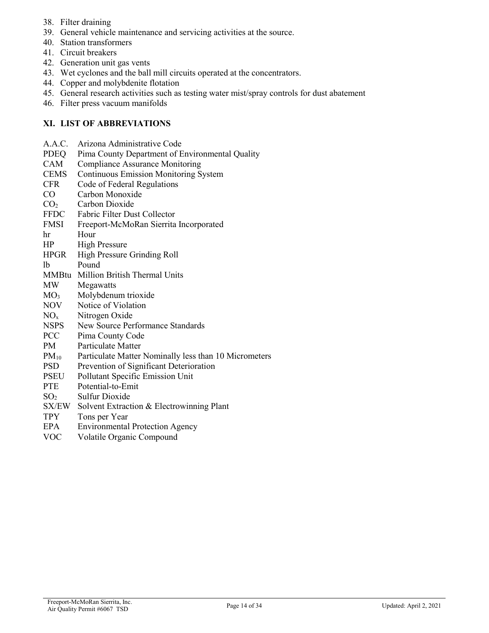- 38. Filter draining
- 39. General vehicle maintenance and servicing activities at the source.
- 40. Station transformers
- 41. Circuit breakers
- 42. Generation unit gas vents
- 43. Wet cyclones and the ball mill circuits operated at the concentrators.
- 44. Copper and molybdenite flotation
- 45. General research activities such as testing water mist/spray controls for dust abatement
- 46. Filter press vacuum manifolds

### **XI. LIST OF ABBREVIATIONS**

- A.A.C. Arizona Administrative Code
- PDEQ Pima County Department of Environmental Quality
- CAM Compliance Assurance Monitoring
- CEMS Continuous Emission Monitoring System
- CFR Code of Federal Regulations
- CO Carbon Monoxide
- CO<sub>2</sub> Carbon Dioxide
- FFDC Fabric Filter Dust Collector
- FMSI Freeport-McMoRan Sierrita Incorporated
- hr Hour
- HP High Pressure
- HPGR High Pressure Grinding Roll
- lb Pound
- MMBtu Million British Thermal Units
- MW Megawatts
- MO3 Molybdenum trioxide
- NOV Notice of Violation
- NOx Nitrogen Oxide
- NSPS New Source Performance Standards
- PCC Pima County Code
- PM Particulate Matter
- $PM_{10}$  Particulate Matter Nominally less than 10 Micrometers
- PSD Prevention of Significant Deterioration
- PSEU Pollutant Specific Emission Unit
- PTE Potential-to-Emit
- $SO<sub>2</sub>$  Sulfur Dioxide
- SX/EW Solvent Extraction & Electrowinning Plant
- TPY Tons per Year
- EPA Environmental Protection Agency
- VOC Volatile Organic Compound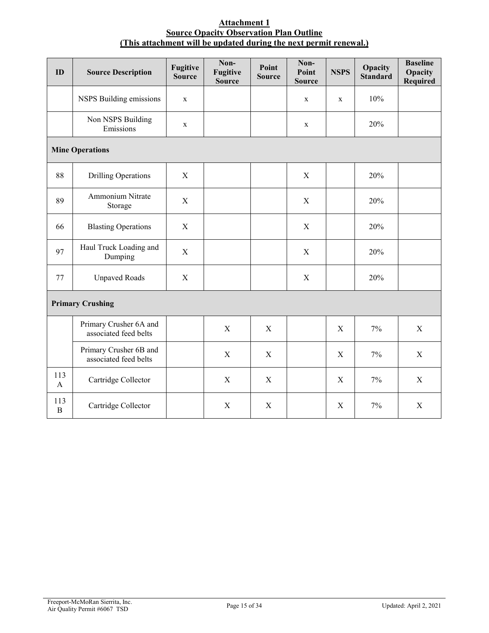#### **Attachment 1 Source Opacity Observation Plan Outline (This attachment will be updated during the next permit renewal.)**

| ID                     | <b>Source Description</b>                       | <b>Fugitive</b><br><b>Source</b> | Non-<br><b>Fugitive</b><br><b>Source</b> | Point<br><b>Source</b> | Non-<br>Point<br><b>Source</b> | <b>NSPS</b> | Opacity<br><b>Standard</b> | <b>Baseline</b><br>Opacity<br><b>Required</b> |
|------------------------|-------------------------------------------------|----------------------------------|------------------------------------------|------------------------|--------------------------------|-------------|----------------------------|-----------------------------------------------|
|                        | NSPS Building emissions                         | $\mathbf X$                      |                                          |                        | $\mathbf X$                    | X           | 10%                        |                                               |
|                        | Non NSPS Building<br>Emissions                  | $\mathbf X$                      |                                          |                        | $\mathbf X$                    |             | 20%                        |                                               |
| <b>Mine Operations</b> |                                                 |                                  |                                          |                        |                                |             |                            |                                               |
| 88                     | <b>Drilling Operations</b>                      | $\mathbf X$                      |                                          |                        | $\mathbf X$                    |             | 20%                        |                                               |
| 89                     | Ammonium Nitrate<br>Storage                     | $\mathbf X$                      |                                          |                        | $\mathbf X$                    |             | 20%                        |                                               |
| 66                     | <b>Blasting Operations</b>                      | $\mathbf X$                      |                                          |                        | X                              |             | 20%                        |                                               |
| 97                     | Haul Truck Loading and<br>Dumping               | $\mathbf X$                      |                                          |                        | $\mathbf X$                    |             | 20%                        |                                               |
| 77                     | <b>Unpaved Roads</b>                            | $\mathbf X$                      |                                          |                        | $\mathbf X$                    |             | 20%                        |                                               |
|                        | <b>Primary Crushing</b>                         |                                  |                                          |                        |                                |             |                            |                                               |
|                        | Primary Crusher 6A and<br>associated feed belts |                                  | $\mathbf X$                              | X                      |                                | $\mathbf X$ | 7%                         | $\mathbf X$                                   |
|                        | Primary Crusher 6B and<br>associated feed belts |                                  | $\mathbf X$                              | $\mathbf X$            |                                | $\mathbf X$ | $7\%$                      | $\mathbf X$                                   |
| 113<br>$\mathbf{A}$    | Cartridge Collector                             |                                  | X                                        | $\mathbf X$            |                                | X           | 7%                         | X                                             |
| 113<br>$\, {\bf B}$    | Cartridge Collector                             |                                  | $\mathbf X$                              | $\mathbf X$            |                                | $\mathbf X$ | 7%                         | $\mathbf X$                                   |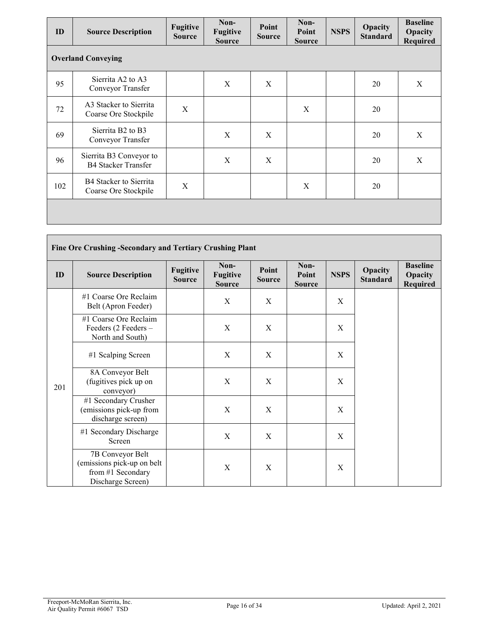| ID                        | <b>Source Description</b>                                      | Fugitive<br><b>Source</b> | Non-<br><b>Fugitive</b><br><b>Source</b> | Point<br><b>Source</b> | Non-<br>Point<br><b>Source</b> | <b>NSPS</b> | Opacity<br><b>Standard</b> | <b>Baseline</b><br>Opacity<br><b>Required</b> |  |
|---------------------------|----------------------------------------------------------------|---------------------------|------------------------------------------|------------------------|--------------------------------|-------------|----------------------------|-----------------------------------------------|--|
| <b>Overland Conveying</b> |                                                                |                           |                                          |                        |                                |             |                            |                                               |  |
| 95                        | Sierrita A2 to A3<br>Conveyor Transfer                         |                           | X                                        | X                      |                                |             | 20                         | X                                             |  |
| 72                        | A3 Stacker to Sierrita<br>Coarse Ore Stockpile                 | X                         |                                          |                        | X                              |             | 20                         |                                               |  |
| 69                        | Sierrita B <sub>2</sub> to B <sub>3</sub><br>Conveyor Transfer |                           | X                                        | X                      |                                |             | 20                         | X                                             |  |
| 96                        | Sierrita B3 Conveyor to<br><b>B4 Stacker Transfer</b>          |                           | X                                        | X                      |                                |             | 20                         | $\mathbf X$                                   |  |
| 102                       | B4 Stacker to Sierrita<br>Coarse Ore Stockpile                 | X                         |                                          |                        | X                              |             | 20                         |                                               |  |
|                           |                                                                |                           |                                          |                        |                                |             |                            |                                               |  |

| Fine Ore Crushing -Secondary and Tertiary Crushing Plant |                                                                                          |                                  |                                          |                        |                                |             |                            |                                        |  |  |
|----------------------------------------------------------|------------------------------------------------------------------------------------------|----------------------------------|------------------------------------------|------------------------|--------------------------------|-------------|----------------------------|----------------------------------------|--|--|
| ID                                                       | <b>Source Description</b>                                                                | <b>Fugitive</b><br><b>Source</b> | Non-<br><b>Fugitive</b><br><b>Source</b> | Point<br><b>Source</b> | Non-<br>Point<br><b>Source</b> | <b>NSPS</b> | Opacity<br><b>Standard</b> | <b>Baseline</b><br>Opacity<br>Required |  |  |
|                                                          | #1 Coarse Ore Reclaim<br>Belt (Apron Feeder)                                             |                                  | X                                        | X                      |                                | X           |                            |                                        |  |  |
|                                                          | #1 Coarse Ore Reclaim<br>Feeders (2 Feeders -<br>North and South)                        |                                  | X                                        | X                      |                                | X           |                            |                                        |  |  |
|                                                          | #1 Scalping Screen                                                                       |                                  | X                                        | X                      |                                | X           |                            |                                        |  |  |
| 201                                                      | 8A Conveyor Belt<br>(fugitives pick up on<br>conveyor)                                   |                                  | X                                        | X                      |                                | X           |                            |                                        |  |  |
|                                                          | #1 Secondary Crusher<br>(emissions pick-up from<br>discharge screen)                     |                                  | X                                        | X                      |                                | X           |                            |                                        |  |  |
|                                                          | #1 Secondary Discharge<br>Screen                                                         |                                  | X                                        | X                      |                                | X           |                            |                                        |  |  |
|                                                          | 7B Conveyor Belt<br>(emissions pick-up on belt<br>from #1 Secondary<br>Discharge Screen) |                                  | X                                        | X                      |                                | X           |                            |                                        |  |  |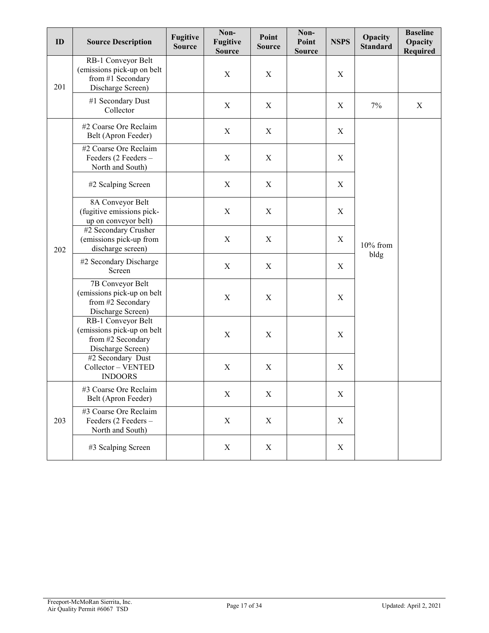| ID  | <b>Source Description</b>                                                                  | <b>Fugitive</b><br><b>Source</b> | Non-<br><b>Fugitive</b><br><b>Source</b> | Point<br><b>Source</b> | Non-<br>Point<br><b>Source</b> | <b>NSPS</b> | Opacity<br><b>Standard</b> | <b>Baseline</b><br>Opacity<br>Required |
|-----|--------------------------------------------------------------------------------------------|----------------------------------|------------------------------------------|------------------------|--------------------------------|-------------|----------------------------|----------------------------------------|
| 201 | RB-1 Conveyor Belt<br>(emissions pick-up on belt<br>from #1 Secondary<br>Discharge Screen) |                                  | X                                        | $\mathbf X$            |                                | X           |                            |                                        |
|     | #1 Secondary Dust<br>Collector                                                             |                                  | $\boldsymbol{\mathrm{X}}$                | X                      |                                | X           | 7%                         | X                                      |
|     | #2 Coarse Ore Reclaim<br>Belt (Apron Feeder)                                               |                                  | $\boldsymbol{\mathrm{X}}$                | X                      |                                | $\mathbf X$ |                            |                                        |
|     | #2 Coarse Ore Reclaim<br>Feeders (2 Feeders -<br>North and South)                          |                                  | $\boldsymbol{\mathrm{X}}$                | X                      |                                | X           |                            |                                        |
|     | #2 Scalping Screen                                                                         |                                  | $\boldsymbol{\mathrm{X}}$                | X                      |                                | X           | 10% from<br>bldg           |                                        |
|     | 8A Conveyor Belt<br>(fugitive emissions pick-<br>up on conveyor belt)                      |                                  | X                                        | X                      |                                | X           |                            |                                        |
| 202 | #2 Secondary Crusher<br>(emissions pick-up from<br>discharge screen)                       |                                  | X                                        | X                      |                                | X           |                            |                                        |
|     | #2 Secondary Discharge<br>Screen                                                           |                                  | X                                        | X                      |                                | X           |                            |                                        |
|     | 7B Conveyor Belt<br>(emissions pick-up on belt<br>from #2 Secondary<br>Discharge Screen)   |                                  | X                                        | X                      |                                | X           |                            |                                        |
|     | RB-1 Conveyor Belt<br>(emissions pick-up on belt<br>from #2 Secondary<br>Discharge Screen) |                                  | X                                        | $\mathbf X$            |                                | X           |                            |                                        |
|     | #2 Secondary Dust<br>Collector - VENTED<br><b>INDOORS</b>                                  |                                  | $\mathbf X$                              | X                      |                                | $\mathbf X$ |                            |                                        |
|     | #3 Coarse Ore Reclaim<br>Belt (Apron Feeder)                                               |                                  | X                                        | X                      |                                | $\mathbf X$ |                            |                                        |
| 203 | #3 Coarse Ore Reclaim<br>Feeders (2 Feeders -<br>North and South)                          |                                  | X                                        | X                      |                                | $\mathbf X$ |                            |                                        |
|     | #3 Scalping Screen                                                                         |                                  | X                                        | X                      |                                | $\mathbf X$ |                            |                                        |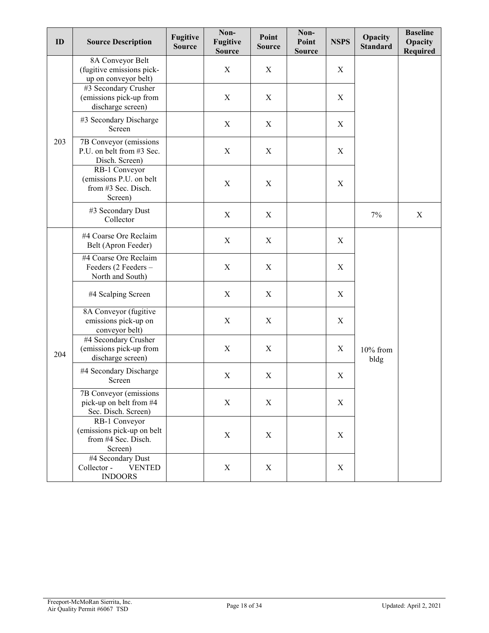| ID  | <b>Source Description</b>                                                     | <b>Fugitive</b><br><b>Source</b> | Non-<br><b>Fugitive</b><br><b>Source</b> | Point<br><b>Source</b> | Non-<br>Point<br><b>Source</b> | <b>NSPS</b> | Opacity<br><b>Standard</b> | <b>Baseline</b><br>Opacity<br>Required |
|-----|-------------------------------------------------------------------------------|----------------------------------|------------------------------------------|------------------------|--------------------------------|-------------|----------------------------|----------------------------------------|
|     | 8A Conveyor Belt<br>(fugitive emissions pick-<br>up on conveyor belt)         |                                  | X                                        | X                      |                                | $\mathbf X$ |                            |                                        |
| 203 | #3 Secondary Crusher<br>(emissions pick-up from<br>discharge screen)          |                                  | X                                        | $\mathbf X$            |                                | X           |                            |                                        |
|     | #3 Secondary Discharge<br>Screen                                              |                                  | $\mathbf X$                              | $\mathbf X$            |                                | $\mathbf X$ |                            |                                        |
|     | 7B Conveyor (emissions<br>P.U. on belt from #3 Sec.<br>Disch. Screen)         |                                  | $\boldsymbol{X}$                         | X                      |                                | $\mathbf X$ |                            |                                        |
|     | RB-1 Conveyor<br>(emissions P.U. on belt<br>from #3 Sec. Disch.<br>Screen)    |                                  | $\mathbf X$                              | $\mathbf X$            |                                | $\mathbf X$ |                            |                                        |
|     | #3 Secondary Dust<br>Collector                                                |                                  | $\mathbf X$                              | $\mathbf X$            |                                |             | 7%                         | $\mathbf X$                            |
|     | #4 Coarse Ore Reclaim<br>Belt (Apron Feeder)                                  |                                  | $\mathbf X$                              | X                      |                                | X           |                            |                                        |
|     | #4 Coarse Ore Reclaim<br>Feeders (2 Feeders -<br>North and South)             |                                  | $\boldsymbol{X}$                         | $\mathbf X$            |                                | $\mathbf X$ |                            |                                        |
|     | #4 Scalping Screen                                                            |                                  | $\mathbf X$                              | $\mathbf X$            |                                | $\mathbf X$ |                            |                                        |
|     | 8A Conveyor (fugitive<br>emissions pick-up on<br>conveyor belt)               |                                  | $\mathbf X$                              | $\mathbf X$            |                                | $\mathbf X$ |                            |                                        |
| 204 | #4 Secondary Crusher<br>(emissions pick-up from<br>discharge screen)          |                                  | $\mathbf X$                              | $\mathbf X$            |                                | $\mathbf X$ | 10% from<br>bldg           |                                        |
|     | #4 Secondary Discharge<br>Screen                                              |                                  | $\mathbf X$                              | $\mathbf X$            |                                | $\mathbf X$ |                            |                                        |
|     | 7B Conveyor (emissions<br>pick-up on belt from #4<br>Sec. Disch. Screen)      |                                  | X                                        | X                      |                                | X           |                            |                                        |
|     | RB-1 Conveyor<br>(emissions pick-up on belt<br>from #4 Sec. Disch.<br>Screen) |                                  | X                                        | X                      |                                | X           |                            |                                        |
|     | #4 Secondary Dust<br>Collector -<br><b>VENTED</b><br><b>INDOORS</b>           |                                  | $\mathbf X$                              | X                      |                                | $\mathbf X$ |                            |                                        |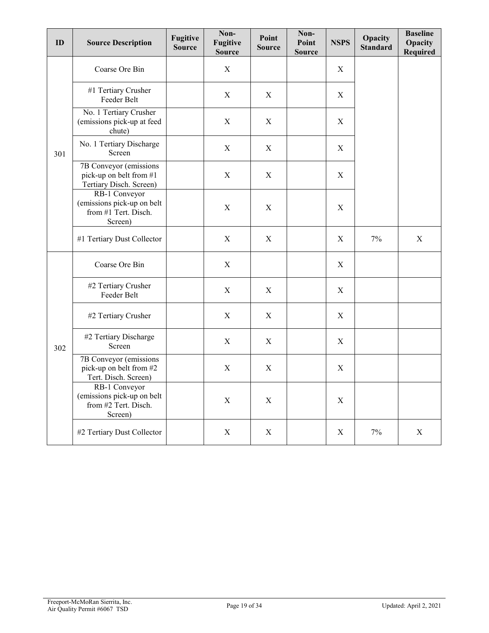| ID  | <b>Source Description</b>                                                      | <b>Fugitive</b><br><b>Source</b> | Non-<br><b>Fugitive</b><br><b>Source</b> | Point<br><b>Source</b> | Non-<br>Point<br><b>Source</b> | <b>NSPS</b>      | Opacity<br><b>Standard</b> | <b>Baseline</b><br>Opacity<br><b>Required</b> |
|-----|--------------------------------------------------------------------------------|----------------------------------|------------------------------------------|------------------------|--------------------------------|------------------|----------------------------|-----------------------------------------------|
|     | Coarse Ore Bin                                                                 |                                  | X                                        |                        |                                | $\boldsymbol{X}$ |                            |                                               |
|     | #1 Tertiary Crusher<br>Feeder Belt                                             |                                  | X                                        | X                      |                                | X                |                            |                                               |
|     | No. 1 Tertiary Crusher<br>(emissions pick-up at feed<br>chute)                 |                                  | $\mathbf X$                              | $\mathbf X$            |                                | $\mathbf X$      |                            |                                               |
| 301 | No. 1 Tertiary Discharge<br>Screen                                             |                                  | X                                        | X                      |                                | X                |                            |                                               |
|     | 7B Conveyor (emissions<br>pick-up on belt from #1<br>Tertiary Disch. Screen)   |                                  | $\boldsymbol{X}$                         | X                      |                                | X                |                            |                                               |
|     | RB-1 Conveyor<br>(emissions pick-up on belt<br>from #1 Tert. Disch.<br>Screen) |                                  | $\mathbf X$                              | X                      |                                | $\mathbf X$      |                            |                                               |
|     | #1 Tertiary Dust Collector                                                     |                                  | $\mathbf X$                              | X                      |                                | X                | 7%                         | $\mathbf X$                                   |
|     | Coarse Ore Bin                                                                 |                                  | $\mathbf X$                              |                        |                                | $\boldsymbol{X}$ |                            |                                               |
|     | #2 Tertiary Crusher<br>Feeder Belt                                             |                                  | $\mathbf X$                              | X                      |                                | $\mathbf X$      |                            |                                               |
|     | #2 Tertiary Crusher                                                            |                                  | $\mathbf X$                              | X                      |                                | $\mathbf X$      |                            |                                               |
| 302 | #2 Tertiary Discharge<br>Screen                                                |                                  | X                                        | $\mathbf X$            |                                | $\mathbf X$      |                            |                                               |
|     | 7B Conveyor (emissions<br>pick-up on belt from #2<br>Tert. Disch. Screen)      |                                  | $\mathbf X$                              | X                      |                                | X                |                            |                                               |
|     | RB-1 Conveyor<br>(emissions pick-up on belt<br>from #2 Tert. Disch.<br>Screen) |                                  | $\mathbf X$                              | $\mathbf X$            |                                | $\mathbf X$      |                            |                                               |
|     | #2 Tertiary Dust Collector                                                     |                                  | X                                        | X                      |                                | X                | 7%                         | $\mathbf X$                                   |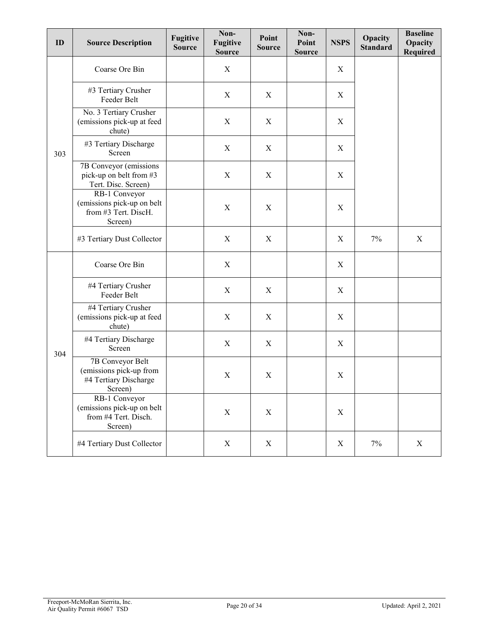| ID  | <b>Source Description</b>                                                       | <b>Fugitive</b><br><b>Source</b> | Non-<br><b>Fugitive</b><br><b>Source</b> | Point<br><b>Source</b> | Non-<br>Point<br><b>Source</b> | <b>NSPS</b> | Opacity<br><b>Standard</b> | <b>Baseline</b><br>Opacity<br>Required |
|-----|---------------------------------------------------------------------------------|----------------------------------|------------------------------------------|------------------------|--------------------------------|-------------|----------------------------|----------------------------------------|
|     | Coarse Ore Bin                                                                  |                                  | $\boldsymbol{\mathrm{X}}$                |                        |                                | X           |                            |                                        |
|     | #3 Tertiary Crusher<br>Feeder Belt                                              |                                  | X                                        | X                      |                                | X           |                            |                                        |
|     | No. 3 Tertiary Crusher<br>(emissions pick-up at feed<br>chute)                  |                                  | X                                        | X                      |                                | $\mathbf X$ |                            |                                        |
| 303 | #3 Tertiary Discharge<br>Screen                                                 |                                  | X                                        | X                      |                                | X           |                            |                                        |
|     | 7B Conveyor (emissions<br>pick-up on belt from #3<br>Tert. Disc. Screen)        |                                  | X                                        | X                      |                                | X           |                            |                                        |
|     | RB-1 Conveyor<br>(emissions pick-up on belt<br>from #3 Tert. DiscH.<br>Screen)  |                                  | $\mathbf X$                              | X                      |                                | $\mathbf X$ |                            |                                        |
|     | #3 Tertiary Dust Collector                                                      |                                  | X                                        | X                      |                                | $\mathbf X$ | $7\%$                      | $\mathbf X$                            |
|     | Coarse Ore Bin                                                                  |                                  | $\boldsymbol{\mathrm{X}}$                |                        |                                | X           |                            |                                        |
|     | #4 Tertiary Crusher<br>Feeder Belt                                              |                                  | X                                        | X                      |                                | X           |                            |                                        |
|     | #4 Tertiary Crusher<br>(emissions pick-up at feed<br>chute)                     |                                  | X                                        | X                      |                                | X           |                            |                                        |
| 304 | #4 Tertiary Discharge<br>Screen                                                 |                                  | $\mathbf X$                              | X                      |                                | $\mathbf X$ |                            |                                        |
|     | 7B Conveyor Belt<br>(emissions pick-up from<br>#4 Tertiary Discharge<br>Screen) |                                  | X                                        | X                      |                                | X           |                            |                                        |
|     | RB-1 Conveyor<br>(emissions pick-up on belt<br>from #4 Tert. Disch.<br>Screen)  |                                  | $\boldsymbol{\mathrm{X}}$                | X                      |                                | $\mathbf X$ |                            |                                        |
|     | #4 Tertiary Dust Collector                                                      |                                  | $\boldsymbol{\mathrm{X}}$                | $\mathbf X$            |                                | $\mathbf X$ | 7%                         | $\mathbf X$                            |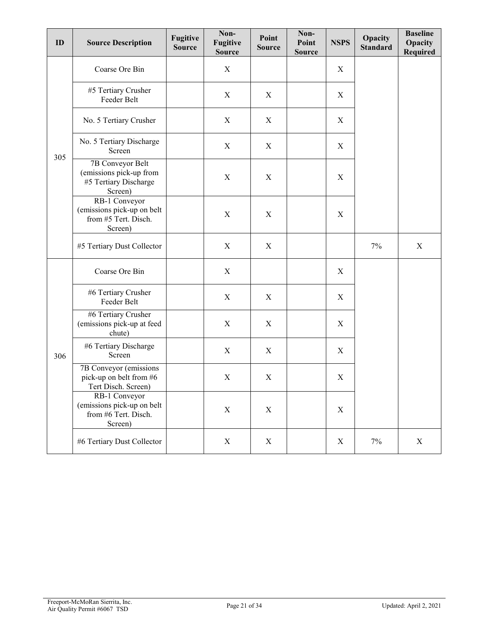| ID  | <b>Source Description</b>                                                       | Fugitive<br><b>Source</b> | Non-<br><b>Fugitive</b><br><b>Source</b> | Point<br><b>Source</b> | Non-<br>Point<br><b>Source</b> | <b>NSPS</b> | Opacity<br><b>Standard</b> | <b>Baseline</b><br>Opacity<br><b>Required</b> |
|-----|---------------------------------------------------------------------------------|---------------------------|------------------------------------------|------------------------|--------------------------------|-------------|----------------------------|-----------------------------------------------|
|     | Coarse Ore Bin                                                                  |                           | X                                        |                        |                                | X           |                            |                                               |
|     | #5 Tertiary Crusher<br>Feeder Belt                                              |                           | $\boldsymbol{X}$                         | X                      |                                | X           |                            |                                               |
|     | No. 5 Tertiary Crusher                                                          |                           | X                                        | X                      |                                | X           |                            |                                               |
| 305 | No. 5 Tertiary Discharge<br>Screen                                              |                           | $\boldsymbol{X}$                         | X                      |                                | $\mathbf X$ |                            |                                               |
|     | 7B Conveyor Belt<br>(emissions pick-up from<br>#5 Tertiary Discharge<br>Screen) |                           | $\boldsymbol{X}$                         | X                      |                                | X           |                            |                                               |
|     | RB-1 Conveyor<br>(emissions pick-up on belt<br>from #5 Tert. Disch.<br>Screen)  |                           | $\mathbf X$                              | X                      |                                | X           |                            |                                               |
|     | #5 Tertiary Dust Collector                                                      |                           | X                                        | X                      |                                |             | 7%                         | X                                             |
|     | Coarse Ore Bin                                                                  |                           | X                                        |                        |                                | $\mathbf X$ |                            |                                               |
|     | #6 Tertiary Crusher<br>Feeder Belt                                              |                           | X                                        | X                      |                                | $\mathbf X$ |                            |                                               |
|     | #6 Tertiary Crusher<br>(emissions pick-up at feed<br>chute)                     |                           | $\boldsymbol{\mathrm{X}}$                | X                      |                                | X           |                            |                                               |
| 306 | #6 Tertiary Discharge<br>Screen                                                 |                           | $\mathbf X$                              | X                      |                                | X           |                            |                                               |
|     | 7B Conveyor (emissions<br>pick-up on belt from #6<br>Tert Disch. Screen)        |                           | X                                        | $\mathbf X$            |                                | X           |                            |                                               |
|     | RB-1 Conveyor<br>(emissions pick-up on belt<br>from #6 Tert. Disch.<br>Screen)  |                           | $\mathbf X$                              | X                      |                                | $\mathbf X$ |                            |                                               |
|     | #6 Tertiary Dust Collector                                                      |                           | $\boldsymbol{\mathrm{X}}$                | X                      |                                | $\mathbf X$ | $7\%$                      | $\boldsymbol{\mathrm{X}}$                     |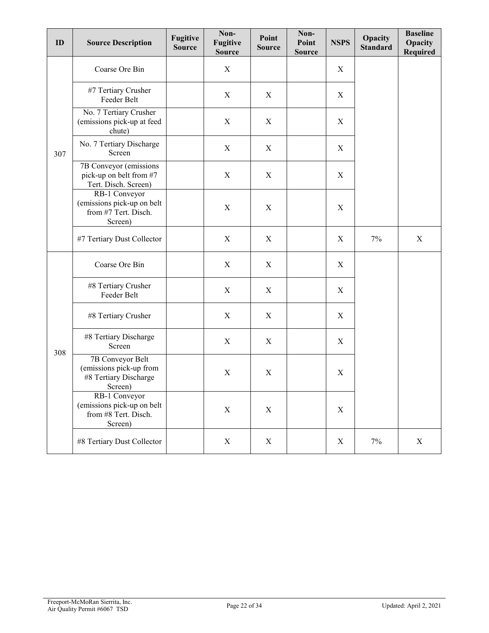| ID  | <b>Source Description</b>                                                       | <b>Fugitive</b><br><b>Source</b> | Non-<br><b>Fugitive</b><br><b>Source</b> | Point<br><b>Source</b> | Non-<br>Point<br><b>Source</b> | <b>NSPS</b> | Opacity<br><b>Standard</b> | <b>Baseline</b><br>Opacity<br><b>Required</b> |
|-----|---------------------------------------------------------------------------------|----------------------------------|------------------------------------------|------------------------|--------------------------------|-------------|----------------------------|-----------------------------------------------|
|     | Coarse Ore Bin                                                                  |                                  | X                                        |                        |                                | X           |                            |                                               |
|     | #7 Tertiary Crusher<br>Feeder Belt                                              |                                  | X                                        | X                      |                                | X           |                            |                                               |
|     | No. 7 Tertiary Crusher<br>(emissions pick-up at feed<br>chute)                  |                                  | X                                        | X                      |                                | X           |                            |                                               |
| 307 | No. 7 Tertiary Discharge<br>Screen                                              |                                  | X                                        | X                      |                                | X           |                            |                                               |
|     | 7B Conveyor (emissions<br>pick-up on belt from #7<br>Tert. Disch. Screen)       |                                  | X                                        | X                      |                                | X           |                            |                                               |
|     | RB-1 Conveyor<br>(emissions pick-up on belt<br>from #7 Tert. Disch.<br>Screen)  |                                  | $\mathbf X$                              | $\mathbf X$            |                                | $\mathbf X$ |                            |                                               |
|     | #7 Tertiary Dust Collector                                                      |                                  | X                                        | X                      |                                | X           | 7%                         | $\mathbf X$                                   |
|     | Coarse Ore Bin                                                                  |                                  | X                                        | X                      |                                | X           |                            |                                               |
|     | #8 Tertiary Crusher<br>Feeder Belt                                              |                                  | X                                        | X                      |                                | X           |                            |                                               |
|     | #8 Tertiary Crusher                                                             |                                  | X                                        | X                      |                                | $\mathbf X$ |                            |                                               |
|     | #8 Tertiary Discharge<br>Screen                                                 |                                  | X                                        | X                      |                                | X           |                            |                                               |
| 308 | 7B Conveyor Belt<br>(emissions pick-up from<br>#8 Tertiary Discharge<br>Screen) |                                  | X                                        | X                      |                                | X           |                            |                                               |
|     | RB-1 Conveyor<br>(emissions pick-up on belt<br>from #8 Tert. Disch.<br>Screen)  |                                  | X                                        | $\mathbf X$            |                                | $\mathbf X$ |                            |                                               |
|     | #8 Tertiary Dust Collector                                                      |                                  | X                                        | X                      |                                | $\mathbf X$ | $7\%$                      | X                                             |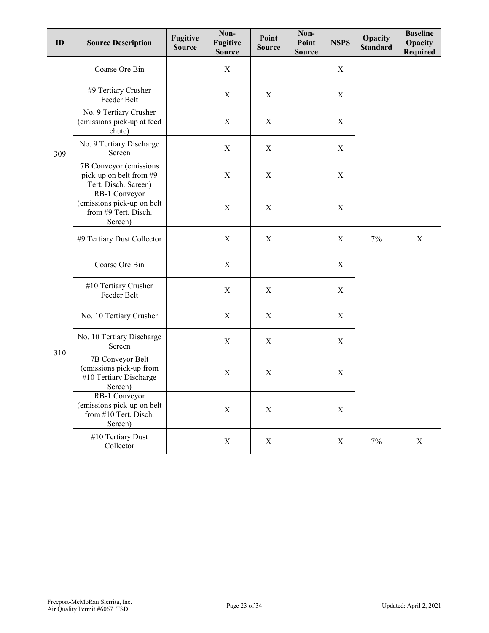| ID  | <b>Source Description</b>                                                        | <b>Fugitive</b><br><b>Source</b> | Non-<br><b>Fugitive</b><br><b>Source</b> | Point<br><b>Source</b> | Non-<br>Point<br><b>Source</b> | <b>NSPS</b> | Opacity<br><b>Standard</b> | <b>Baseline</b><br>Opacity<br><b>Required</b> |
|-----|----------------------------------------------------------------------------------|----------------------------------|------------------------------------------|------------------------|--------------------------------|-------------|----------------------------|-----------------------------------------------|
|     | Coarse Ore Bin                                                                   |                                  | X                                        |                        |                                | X           |                            |                                               |
|     | #9 Tertiary Crusher<br>Feeder Belt                                               |                                  | X                                        | X                      |                                | X           |                            |                                               |
|     | No. 9 Tertiary Crusher<br>(emissions pick-up at feed<br>chute)                   |                                  | X                                        | X                      |                                | X           |                            |                                               |
| 309 | No. 9 Tertiary Discharge<br>Screen                                               |                                  | X                                        | X                      |                                | X           |                            |                                               |
|     | 7B Conveyor (emissions<br>pick-up on belt from #9<br>Tert. Disch. Screen)        |                                  | X                                        | X                      |                                | X           |                            |                                               |
|     | RB-1 Conveyor<br>(emissions pick-up on belt<br>from #9 Tert. Disch.<br>Screen)   |                                  | $\mathbf X$                              | X                      |                                | $\mathbf X$ |                            |                                               |
|     | #9 Tertiary Dust Collector                                                       |                                  | X                                        | X                      |                                | X           | 7%                         | $\mathbf X$                                   |
|     | Coarse Ore Bin                                                                   |                                  | X                                        |                        |                                | X           |                            |                                               |
|     | #10 Tertiary Crusher<br>Feeder Belt                                              |                                  | X                                        | X                      |                                | X           |                            |                                               |
|     | No. 10 Tertiary Crusher                                                          |                                  | X                                        | X                      |                                | $\mathbf X$ |                            |                                               |
|     | No. 10 Tertiary Discharge<br>Screen                                              |                                  | X                                        | X                      |                                | X           |                            |                                               |
| 310 | 7B Conveyor Belt<br>(emissions pick-up from<br>#10 Tertiary Discharge<br>Screen) |                                  | X                                        | X                      |                                | X           |                            |                                               |
|     | RB-1 Conveyor<br>(emissions pick-up on belt<br>from #10 Tert. Disch.<br>Screen)  |                                  | $\mathbf X$                              | $\mathbf X$            |                                | $\mathbf X$ |                            |                                               |
|     | #10 Tertiary Dust<br>Collector                                                   |                                  | X                                        | X                      |                                | $\mathbf X$ | $7\%$                      | X                                             |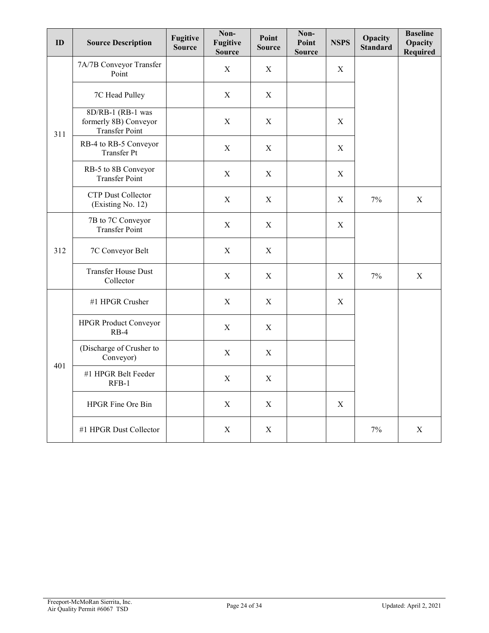| ID  | <b>Source Description</b>                                           | <b>Fugitive</b><br><b>Source</b> | Non-<br><b>Fugitive</b><br><b>Source</b> | Point<br><b>Source</b> | Non-<br>Point<br><b>Source</b> | <b>NSPS</b> | Opacity<br><b>Standard</b> | <b>Baseline</b><br>Opacity<br>Required |
|-----|---------------------------------------------------------------------|----------------------------------|------------------------------------------|------------------------|--------------------------------|-------------|----------------------------|----------------------------------------|
|     | 7A/7B Conveyor Transfer<br>Point                                    |                                  | $\mathbf X$                              | X                      |                                | $\mathbf X$ |                            |                                        |
|     | 7C Head Pulley                                                      |                                  | $\mathbf X$                              | $\mathbf X$            |                                |             |                            |                                        |
| 311 | 8D/RB-1 (RB-1 was<br>formerly 8B) Conveyor<br><b>Transfer Point</b> |                                  | X                                        | X                      |                                | X           |                            |                                        |
|     | RB-4 to RB-5 Conveyor<br><b>Transfer Pt</b>                         |                                  | X                                        | X                      |                                | X           |                            |                                        |
|     | RB-5 to 8B Conveyor<br><b>Transfer Point</b>                        |                                  | X                                        | $\mathbf X$            |                                | $\mathbf X$ |                            |                                        |
|     | <b>CTP Dust Collector</b><br>(Existing No. 12)                      |                                  | X                                        | X                      |                                | X           | 7%                         | $\mathbf X$                            |
|     | 7B to 7C Conveyor<br><b>Transfer Point</b>                          |                                  | $\mathbf X$                              | X                      |                                | $\mathbf X$ |                            |                                        |
| 312 | 7C Conveyor Belt                                                    |                                  | $\mathbf X$                              | X                      |                                |             |                            |                                        |
|     | <b>Transfer House Dust</b><br>Collector                             |                                  | $\mathbf X$                              | X                      |                                | X           | $7\%$                      | $\mathbf X$                            |
|     | #1 HPGR Crusher                                                     |                                  | X                                        | X                      |                                | X           |                            |                                        |
|     | <b>HPGR Product Conveyor</b><br>$RB-4$                              |                                  | $\mathbf X$                              | X                      |                                |             |                            |                                        |
|     | (Discharge of Crusher to<br>Conveyor)                               |                                  | $\mathbf X$                              | $\mathbf X$            |                                |             |                            |                                        |
| 401 | #1 HPGR Belt Feeder<br>$RFB-1$                                      |                                  | $\mathbf X$                              | X                      |                                |             |                            |                                        |
|     | HPGR Fine Ore Bin                                                   |                                  | X                                        | X                      |                                | X           |                            |                                        |
|     | #1 HPGR Dust Collector                                              |                                  | $\mathbf X$                              | X                      |                                |             | 7%                         | $\mathbf X$                            |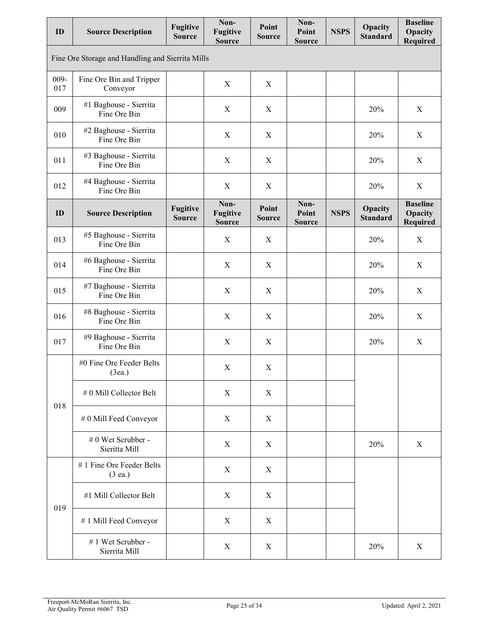| ID          | <b>Source Description</b>                        | <b>Fugitive</b><br><b>Source</b> | Non-<br><b>Fugitive</b><br><b>Source</b> | Point<br><b>Source</b> | Non-<br>Point<br><b>Source</b> | <b>NSPS</b> | Opacity<br><b>Standard</b> | <b>Baseline</b><br>Opacity<br>Required        |
|-------------|--------------------------------------------------|----------------------------------|------------------------------------------|------------------------|--------------------------------|-------------|----------------------------|-----------------------------------------------|
|             | Fine Ore Storage and Handling and Sierrita Mills |                                  |                                          |                        |                                |             |                            |                                               |
| 009-<br>017 | Fine Ore Bin and Tripper<br>Conveyor             |                                  | X                                        | $\mathbf X$            |                                |             |                            |                                               |
| 009         | #1 Baghouse - Sierrita<br>Fine Ore Bin           |                                  | X                                        | X                      |                                |             | 20%                        | X                                             |
| 010         | #2 Baghouse - Sierrita<br>Fine Ore Bin           |                                  | $\mathbf X$                              | $\boldsymbol{X}$       |                                |             | 20%                        | $\mathbf X$                                   |
| 011         | #3 Baghouse - Sierrita<br>Fine Ore Bin           |                                  | $\mathbf X$                              | $\boldsymbol{X}$       |                                |             | 20%                        | $\mathbf X$                                   |
| 012         | #4 Baghouse - Sierrita<br>Fine Ore Bin           |                                  | $\boldsymbol{X}$                         | $\boldsymbol{X}$       |                                |             | 20%                        | X                                             |
| ID          | <b>Source Description</b>                        | <b>Fugitive</b><br><b>Source</b> | Non-<br><b>Fugitive</b><br><b>Source</b> | Point<br><b>Source</b> | Non-<br>Point<br><b>Source</b> | <b>NSPS</b> | Opacity<br><b>Standard</b> | <b>Baseline</b><br>Opacity<br><b>Required</b> |
| 013         | #5 Baghouse - Sierrita<br>Fine Ore Bin           |                                  | $\boldsymbol{X}$                         | $\boldsymbol{X}$       |                                |             | 20%                        | X                                             |
| 014         | #6 Baghouse - Sierrita<br>Fine Ore Bin           |                                  | $\mathbf X$                              | $\boldsymbol{X}$       |                                |             | 20%                        | X                                             |
| 015         | #7 Baghouse - Sierrita<br>Fine Ore Bin           |                                  | X                                        | $\boldsymbol{X}$       |                                |             | 20%                        | X                                             |
| 016         | #8 Baghouse - Sierrita<br>Fine Ore Bin           |                                  | $\mathbf X$                              | $\boldsymbol{X}$       |                                |             | 20%                        | $\mathbf X$                                   |
| 017         | #9 Baghouse - Sierrita<br>Fine Ore Bin           |                                  | $\mathbf X$                              | $\mathbf X$            |                                |             | 20%                        | $\mathbf X$                                   |
|             | #0 Fine Ore Feeder Belts<br>(3ea.)               |                                  | $\mathbf X$                              | $\mathbf X$            |                                |             |                            |                                               |
| 018         | # 0 Mill Collector Belt                          |                                  | X                                        | X                      |                                |             |                            |                                               |
|             | # 0 Mill Feed Conveyor                           |                                  | X                                        | X                      |                                |             |                            |                                               |
|             | # 0 Wet Scrubber -<br>Sieritta Mill              |                                  | X                                        | X                      |                                |             | 20%                        | $\mathbf X$                                   |
|             | #1 Fine Ore Feeder Belts<br>(3 ea.)              |                                  | X                                        | $\boldsymbol{X}$       |                                |             |                            |                                               |
| 019         | #1 Mill Collector Belt                           |                                  | $\mathbf X$                              | $\mathbf X$            |                                |             |                            |                                               |
|             | #1 Mill Feed Conveyor                            |                                  | $\mathbf X$                              | X                      |                                |             |                            |                                               |
|             | #1 Wet Scrubber -<br>Sierrita Mill               |                                  | X                                        | X                      |                                |             | 20%                        | $\mathbf X$                                   |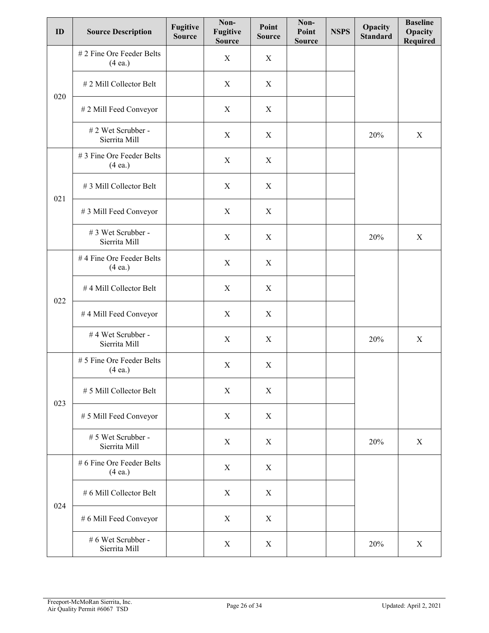| ID  | <b>Source Description</b>                      | Fugitive<br><b>Source</b> | Non-<br><b>Fugitive</b><br><b>Source</b> | Point<br><b>Source</b> | Non-<br>Point<br><b>Source</b> | <b>NSPS</b> | Opacity<br><b>Standard</b> | <b>Baseline</b><br>Opacity<br>Required |
|-----|------------------------------------------------|---------------------------|------------------------------------------|------------------------|--------------------------------|-------------|----------------------------|----------------------------------------|
|     | # 2 Fine Ore Feeder Belts<br>(4 ea.)           |                           | $\mathbf X$                              | X                      |                                |             |                            |                                        |
| 020 | #2 Mill Collector Belt                         |                           | $\mathbf X$                              | X                      |                                |             |                            |                                        |
|     | # 2 Mill Feed Conveyor                         |                           | X                                        | X                      |                                |             |                            |                                        |
|     | #2 Wet Scrubber -<br>Sierrita Mill             |                           | $\mathbf X$                              | X                      |                                |             | 20%                        | $\mathbf X$                            |
|     | #3 Fine Ore Feeder Belts<br>(4 ea.)            |                           | $\mathbf X$                              | X                      |                                |             |                            |                                        |
| 021 | #3 Mill Collector Belt                         |                           | X                                        | X                      |                                |             |                            |                                        |
|     | #3 Mill Feed Conveyor                          |                           | X                                        | X                      |                                |             |                            |                                        |
|     | # 3 Wet Scrubber -<br>Sierrita Mill            |                           | $\mathbf X$                              | X                      |                                |             | 20%                        | $\mathbf X$                            |
| 022 | #4 Fine Ore Feeder Belts<br>(4 ea.)            |                           | X                                        | X                      |                                |             |                            |                                        |
|     | #4 Mill Collector Belt                         |                           | X                                        | X                      |                                |             |                            |                                        |
|     | #4 Mill Feed Conveyor                          |                           | X                                        | X                      |                                |             |                            |                                        |
|     | #4 Wet Scrubber -<br>Sierrita Mill             |                           | $\mathbf X$                              | X                      |                                |             | 20%                        | $\mathbf X$                            |
|     | # 5 Fine Ore Feeder Belts<br>(4 ea.)           |                           | $\mathbf X$                              | X                      |                                |             |                            |                                        |
| 023 | # 5 Mill Collector Belt                        |                           | $\mathbf X$                              | $\mathbf X$            |                                |             |                            |                                        |
|     | # 5 Mill Feed Conveyor                         |                           | $\mathbf X$                              | X                      |                                |             |                            |                                        |
|     | # 5 Wet Scrubber -<br>Sierrita Mill            |                           | X                                        | X                      |                                |             | 20%                        | X                                      |
|     | # 6 Fine Ore Feeder Belts<br>$(4 \text{ ea.})$ |                           | X                                        | X                      |                                |             |                            |                                        |
|     | # 6 Mill Collector Belt                        |                           | X                                        | X                      |                                |             |                            |                                        |
| 024 | # 6 Mill Feed Conveyor                         |                           | X                                        | X                      |                                |             |                            |                                        |
|     | # 6 Wet Scrubber -<br>Sierrita Mill            |                           | $\mathbf X$                              | $\mathbf X$            |                                |             | 20%                        | $\mathbf X$                            |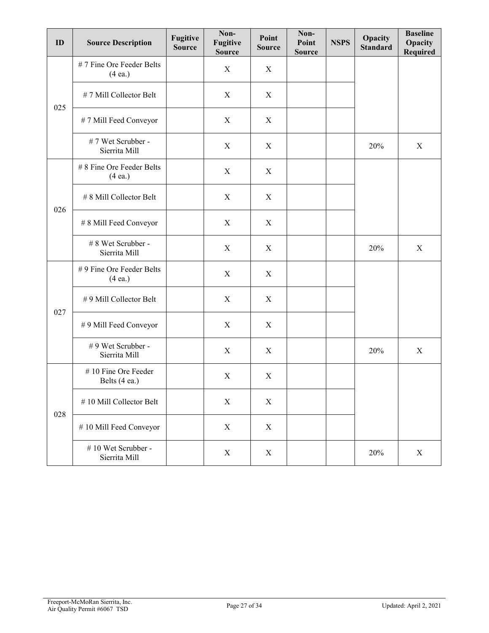| ID  | <b>Source Description</b>            | <b>Fugitive</b><br><b>Source</b> | Non-<br>Fugitive<br><b>Source</b> | Point<br><b>Source</b> | Non-<br>Point<br><b>Source</b> | <b>NSPS</b> | Opacity<br><b>Standard</b> | <b>Baseline</b><br>Opacity<br><b>Required</b> |
|-----|--------------------------------------|----------------------------------|-----------------------------------|------------------------|--------------------------------|-------------|----------------------------|-----------------------------------------------|
|     | #7 Fine Ore Feeder Belts<br>(4 ea.)  |                                  | $\mathbf X$                       | $\mathbf X$            |                                |             |                            |                                               |
| 025 | #7 Mill Collector Belt               |                                  | $\mathbf X$                       | X                      |                                |             |                            |                                               |
|     | #7 Mill Feed Conveyor                |                                  | X                                 | X                      |                                |             |                            |                                               |
|     | #7 Wet Scrubber -<br>Sierrita Mill   |                                  | $\mathbf X$                       | X                      |                                |             | 20%                        | $\mathbf X$                                   |
|     | # 8 Fine Ore Feeder Belts<br>(4 ea.) |                                  | $\mathbf X$                       | X                      |                                |             |                            |                                               |
|     | # 8 Mill Collector Belt              |                                  | $\mathbf X$                       | X                      |                                |             |                            |                                               |
| 026 | # 8 Mill Feed Conveyor               |                                  | $\mathbf X$                       | $\mathbf X$            |                                |             |                            |                                               |
|     | # 8 Wet Scrubber -<br>Sierrita Mill  |                                  | X                                 | X                      |                                |             | 20%                        | $\mathbf X$                                   |
|     | #9 Fine Ore Feeder Belts<br>(4ea.)   |                                  | $\mathbf X$                       | X                      |                                |             |                            |                                               |
| 027 | #9 Mill Collector Belt               |                                  | $\mathbf X$                       | $\mathbf X$            |                                |             |                            |                                               |
|     | #9 Mill Feed Conveyor                |                                  | $\mathbf X$                       | X                      |                                |             |                            |                                               |
|     | #9 Wet Scrubber -<br>Sierrita Mill   |                                  | X                                 | X                      |                                |             | 20%                        | X                                             |
|     | #10 Fine Ore Feeder<br>Belts (4 ea.) |                                  | $\mathbf X$                       | $\mathbf X$            |                                |             |                            |                                               |
|     | #10 Mill Collector Belt              |                                  | $\mathbf X$                       | $\mathbf X$            |                                |             |                            |                                               |
| 028 | #10 Mill Feed Conveyor               |                                  | $\mathbf X$                       | $\mathbf X$            |                                |             |                            |                                               |
|     | #10 Wet Scrubber -<br>Sierrita Mill  |                                  | $\mathbf X$                       | $\mathbf X$            |                                |             | 20%                        | $\mathbf X$                                   |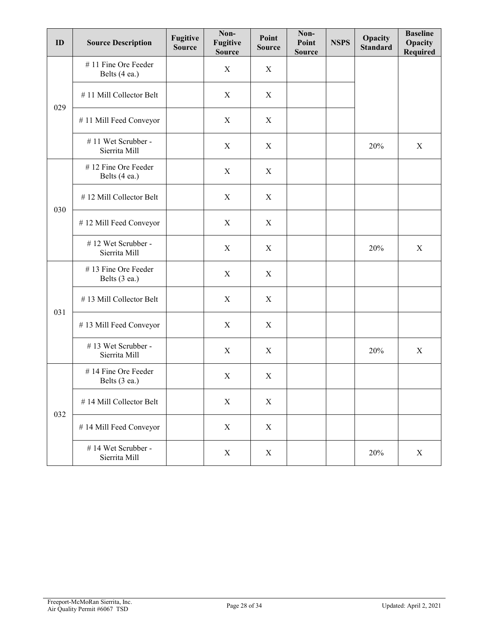| ID  | <b>Source Description</b>            | <b>Fugitive</b><br><b>Source</b> | Non-<br><b>Fugitive</b><br><b>Source</b> | Point<br><b>Source</b> | Non-<br>Point<br><b>Source</b> | <b>NSPS</b> | Opacity<br><b>Standard</b> | <b>Baseline</b><br>Opacity<br><b>Required</b> |
|-----|--------------------------------------|----------------------------------|------------------------------------------|------------------------|--------------------------------|-------------|----------------------------|-----------------------------------------------|
|     | #11 Fine Ore Feeder<br>Belts (4 ea.) |                                  | X                                        | X                      |                                |             |                            |                                               |
| 029 | #11 Mill Collector Belt              |                                  | $\mathbf X$                              | X                      |                                |             |                            |                                               |
|     | #11 Mill Feed Conveyor               |                                  | X                                        | X                      |                                |             |                            |                                               |
|     | #11 Wet Scrubber -<br>Sierrita Mill  |                                  | $\mathbf X$                              | X                      |                                |             | 20%                        | $\mathbf X$                                   |
|     | #12 Fine Ore Feeder<br>Belts (4 ea.) |                                  | $\mathbf X$                              | X                      |                                |             |                            |                                               |
|     | #12 Mill Collector Belt              |                                  | X                                        | X                      |                                |             |                            |                                               |
| 030 | #12 Mill Feed Conveyor               |                                  | X                                        | X                      |                                |             |                            |                                               |
|     | #12 Wet Scrubber -<br>Sierrita Mill  |                                  | $\mathbf X$                              | X                      |                                |             | 20%                        | $\mathbf X$                                   |
|     | #13 Fine Ore Feeder<br>Belts (3 ea.) |                                  | $\mathbf X$                              | X                      |                                |             |                            |                                               |
|     | #13 Mill Collector Belt              |                                  | $\mathbf X$                              | X                      |                                |             |                            |                                               |
| 031 | #13 Mill Feed Conveyor               |                                  | $\mathbf X$                              | X                      |                                |             |                            |                                               |
|     | #13 Wet Scrubber -<br>Sierrita Mill  |                                  | X                                        | X                      |                                |             | 20%                        | X                                             |
|     | #14 Fine Ore Feeder<br>Belts (3 ea.) |                                  | $\mathbf X$                              | X                      |                                |             |                            |                                               |
|     | #14 Mill Collector Belt              |                                  | $\mathbf X$                              | $\mathbf X$            |                                |             |                            |                                               |
| 032 | #14 Mill Feed Conveyor               |                                  | $\mathbf X$                              | X                      |                                |             |                            |                                               |
|     | #14 Wet Scrubber -<br>Sierrita Mill  |                                  | $\mathbf X$                              | $\mathbf X$            |                                |             | 20%                        | $\mathbf X$                                   |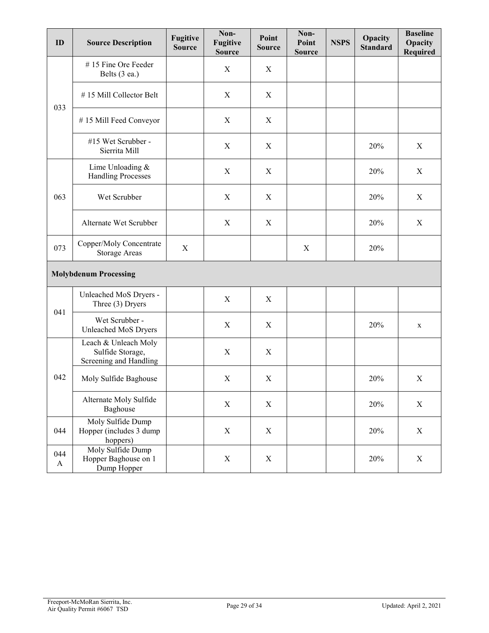| ID                  | <b>Source Description</b>                                          | <b>Fugitive</b><br><b>Source</b> | Non-<br><b>Fugitive</b><br><b>Source</b> | Point<br><b>Source</b> | Non-<br>Point<br><b>Source</b> | <b>NSPS</b> | Opacity<br><b>Standard</b> | <b>Baseline</b><br>Opacity<br><b>Required</b> |
|---------------------|--------------------------------------------------------------------|----------------------------------|------------------------------------------|------------------------|--------------------------------|-------------|----------------------------|-----------------------------------------------|
|                     | #15 Fine Ore Feeder<br>Belts (3 ea.)                               |                                  | $\mathbf X$                              | X                      |                                |             |                            |                                               |
| 033                 | #15 Mill Collector Belt                                            |                                  | $\mathbf X$                              | X                      |                                |             |                            |                                               |
|                     | #15 Mill Feed Conveyor                                             |                                  | $\mathbf X$                              | X                      |                                |             |                            |                                               |
|                     | #15 Wet Scrubber -<br>Sierrita Mill                                |                                  | $\mathbf X$                              | X                      |                                |             | 20%                        | X                                             |
|                     | Lime Unloading &<br><b>Handling Processes</b>                      |                                  | $\mathbf X$                              | X                      |                                |             | 20%                        | $\mathbf X$                                   |
| 063                 | Wet Scrubber                                                       |                                  | X                                        | X                      |                                |             | 20%                        | X                                             |
|                     | Alternate Wet Scrubber                                             |                                  | X                                        | X                      |                                |             | 20%                        | X                                             |
| 073                 | Copper/Moly Concentrate<br><b>Storage Areas</b>                    | $\mathbf X$                      |                                          |                        | X                              |             | 20%                        |                                               |
|                     | <b>Molybdenum Processing</b>                                       |                                  |                                          |                        |                                |             |                            |                                               |
| 041                 | Unleached MoS Dryers -<br>Three (3) Dryers                         |                                  | $\mathbf X$                              | $\mathbf X$            |                                |             |                            |                                               |
|                     | Wet Scrubber -<br>Unleached MoS Dryers                             |                                  | $\mathbf X$                              | X                      |                                |             | 20%                        | $\mathbf X$                                   |
|                     | Leach & Unleach Moly<br>Sulfide Storage,<br>Screening and Handling |                                  | $\mathbf X$                              | $\mathbf X$            |                                |             |                            |                                               |
| 042                 | Moly Sulfide Baghouse                                              |                                  | X                                        | X                      |                                |             | 20%                        | $\boldsymbol{X}$                              |
|                     | Alternate Moly Sulfide<br>Baghouse                                 |                                  | $\mathbf X$                              | $\boldsymbol{X}$       |                                |             | 20%                        | $\mathbf X$                                   |
| 044                 | Moly Sulfide Dump<br>Hopper (includes 3 dump<br>hoppers)           |                                  | X                                        | $\mathbf X$            |                                |             | 20%                        | $\boldsymbol{\mathrm{X}}$                     |
| 044<br>$\mathbf{A}$ | Moly Sulfide Dump<br>Hopper Baghouse on 1<br>Dump Hopper           |                                  | $\mathbf X$                              | X                      |                                |             | 20%                        | $\mathbf X$                                   |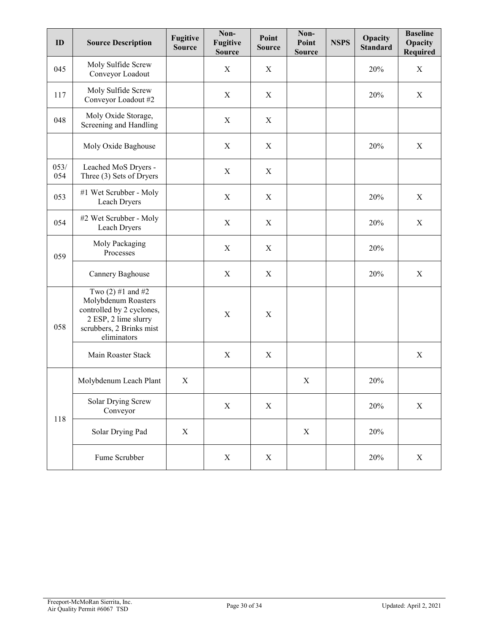| ID          | <b>Source Description</b>                                                                                                                  | <b>Fugitive</b><br><b>Source</b> | Non-<br><b>Fugitive</b><br><b>Source</b> | Point<br><b>Source</b> | Non-<br>Point<br><b>Source</b> | <b>NSPS</b> | Opacity<br><b>Standard</b> | <b>Baseline</b><br>Opacity<br>Required |
|-------------|--------------------------------------------------------------------------------------------------------------------------------------------|----------------------------------|------------------------------------------|------------------------|--------------------------------|-------------|----------------------------|----------------------------------------|
| 045         | Moly Sulfide Screw<br>Conveyor Loadout                                                                                                     |                                  | $\mathbf X$                              | X                      |                                |             | 20%                        | $\mathbf X$                            |
| 117         | Moly Sulfide Screw<br>Conveyor Loadout #2                                                                                                  |                                  | $\mathbf X$                              | $\boldsymbol{X}$       |                                |             | 20%                        | $\mathbf X$                            |
| 048         | Moly Oxide Storage,<br>Screening and Handling                                                                                              |                                  | $\mathbf X$                              | $\boldsymbol{X}$       |                                |             |                            |                                        |
|             | Moly Oxide Baghouse                                                                                                                        |                                  | X                                        | X                      |                                |             | 20%                        | $\mathbf X$                            |
| 053/<br>054 | Leached MoS Dryers -<br>Three (3) Sets of Dryers                                                                                           |                                  | $\mathbf X$                              | $\boldsymbol{X}$       |                                |             |                            |                                        |
| 053         | #1 Wet Scrubber - Moly<br>Leach Dryers                                                                                                     |                                  | $\mathbf X$                              | $\mathbf X$            |                                |             | 20%                        | $\mathbf X$                            |
| 054         | #2 Wet Scrubber - Moly<br>Leach Dryers                                                                                                     |                                  | $\mathbf X$                              | $\boldsymbol{X}$       |                                |             | 20%                        | $\mathbf X$                            |
| 059         | Moly Packaging<br>Processes                                                                                                                |                                  | $\mathbf X$                              | X                      |                                |             | 20%                        |                                        |
|             | Cannery Baghouse                                                                                                                           |                                  | $\mathbf X$                              | X                      |                                |             | 20%                        | X                                      |
| 058         | Two $(2)$ #1 and #2<br>Molybdenum Roasters<br>controlled by 2 cyclones,<br>2 ESP, 2 lime slurry<br>scrubbers, 2 Brinks mist<br>eliminators |                                  | $\mathbf X$                              | X                      |                                |             |                            |                                        |
|             | Main Roaster Stack                                                                                                                         |                                  | $\mathbf X$                              | $\mathbf X$            |                                |             |                            | $\mathbf X$                            |
|             | Molybdenum Leach Plant                                                                                                                     | X                                |                                          |                        | $\mathbf X$                    |             | 20%                        |                                        |
|             | <b>Solar Drying Screw</b><br>Conveyor                                                                                                      |                                  | $\mathbf X$                              | $\boldsymbol{X}$       |                                |             | 20%                        | $\mathbf X$                            |
| 118         | Solar Drying Pad                                                                                                                           | X                                |                                          |                        | X                              |             | 20%                        |                                        |
|             | Fume Scrubber                                                                                                                              |                                  | $\mathbf X$                              | $\mathbf X$            |                                |             | 20%                        | $\mathbf X$                            |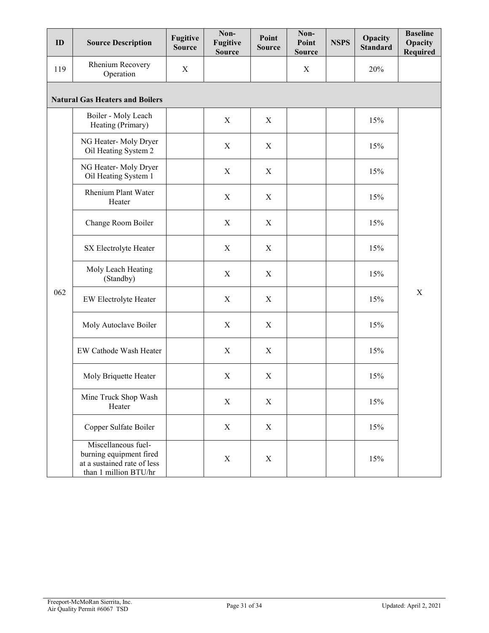| ID  | <b>Source Description</b>                                                                              | <b>Fugitive</b><br><b>Source</b> | Non-<br><b>Fugitive</b><br><b>Source</b> | Point<br><b>Source</b> | Non-<br>Point<br><b>Source</b> | <b>NSPS</b> | Opacity<br><b>Standard</b> | <b>Baseline</b><br>Opacity<br><b>Required</b> |
|-----|--------------------------------------------------------------------------------------------------------|----------------------------------|------------------------------------------|------------------------|--------------------------------|-------------|----------------------------|-----------------------------------------------|
| 119 | Rhenium Recovery<br>Operation                                                                          | X                                |                                          |                        | $\mathbf X$                    |             | 20%                        |                                               |
|     | <b>Natural Gas Heaters and Boilers</b>                                                                 |                                  |                                          |                        |                                |             |                            |                                               |
|     | Boiler - Moly Leach<br>Heating (Primary)                                                               |                                  | X                                        | X                      |                                |             | 15%                        |                                               |
|     | NG Heater-Moly Dryer<br>Oil Heating System 2                                                           |                                  | $\mathbf X$                              | $\mathbf X$            |                                |             | 15%                        |                                               |
|     | NG Heater-Moly Dryer<br>Oil Heating System 1                                                           |                                  | $\mathbf X$                              | X                      |                                |             | 15%                        |                                               |
|     | <b>Rhenium Plant Water</b><br>Heater                                                                   |                                  | X                                        | X                      |                                |             | 15%                        |                                               |
|     | Change Room Boiler                                                                                     |                                  | $\mathbf X$                              | $\mathbf X$            |                                |             | 15%                        | $\mathbf X$                                   |
|     | SX Electrolyte Heater                                                                                  |                                  | $\mathbf X$                              | X                      |                                |             | 15%                        |                                               |
|     | Moly Leach Heating<br>(Standby)                                                                        |                                  | X                                        | X                      |                                |             | 15%                        |                                               |
| 062 | EW Electrolyte Heater                                                                                  |                                  | $\mathbf X$                              | X                      |                                |             | 15%                        |                                               |
|     | Moly Autoclave Boiler                                                                                  |                                  | $\mathbf X$                              | X                      |                                |             | 15%                        |                                               |
|     | EW Cathode Wash Heater                                                                                 |                                  | $\mathbf X$                              | X                      |                                |             | 15%                        |                                               |
|     | Moly Briquette Heater                                                                                  |                                  | $\mathbf X$                              | $\mathbf X$            |                                |             | 15%                        |                                               |
|     | Mine Truck Shop Wash<br>Heater                                                                         |                                  | $\mathbf X$                              | X                      |                                |             | 15%                        |                                               |
|     | Copper Sulfate Boiler                                                                                  |                                  | $\mathbf X$                              | X                      |                                |             | 15%                        |                                               |
|     | Miscellaneous fuel-<br>burning equipment fired<br>at a sustained rate of less<br>than 1 million BTU/hr |                                  | $\mathbf X$                              | $\mathbf X$            |                                |             | 15%                        |                                               |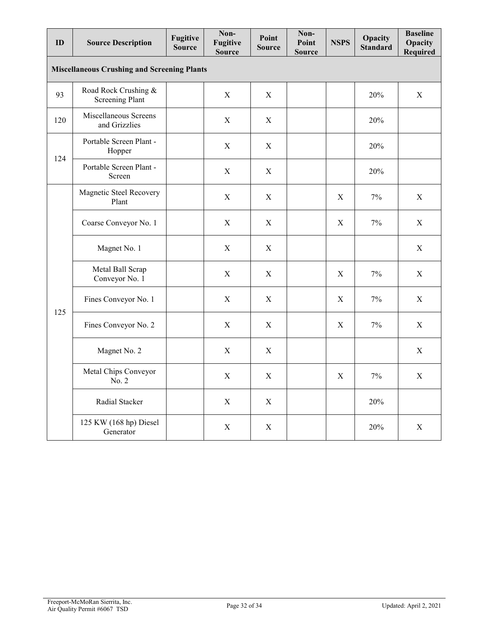| ID  | <b>Source Description</b>                          | <b>Fugitive</b><br><b>Source</b> | Non-<br>Fugitive<br><b>Source</b> | Point<br><b>Source</b> | Non-<br>Point<br><b>Source</b> | <b>NSPS</b> | Opacity<br><b>Standard</b> | <b>Baseline</b><br>Opacity<br><b>Required</b> |
|-----|----------------------------------------------------|----------------------------------|-----------------------------------|------------------------|--------------------------------|-------------|----------------------------|-----------------------------------------------|
|     | <b>Miscellaneous Crushing and Screening Plants</b> |                                  |                                   |                        |                                |             |                            |                                               |
| 93  | Road Rock Crushing &<br><b>Screening Plant</b>     |                                  | X                                 | X                      |                                |             | 20%                        | X                                             |
| 120 | Miscellaneous Screens<br>and Grizzlies             |                                  | $\mathbf X$                       | $\mathbf X$            |                                |             | 20%                        |                                               |
|     | Portable Screen Plant -<br>Hopper                  |                                  | X                                 | X                      |                                |             | 20%                        |                                               |
| 124 | Portable Screen Plant -<br>Screen                  |                                  | $\mathbf X$                       | X                      |                                |             | 20%                        |                                               |
|     | Magnetic Steel Recovery<br>Plant                   |                                  | X                                 | X                      |                                | X           | 7%                         | X                                             |
|     | Coarse Conveyor No. 1                              |                                  | X                                 | X                      |                                | X           | 7%                         | X                                             |
|     | Magnet No. 1                                       |                                  | $\mathbf X$                       | $\mathbf X$            |                                |             |                            | $\mathbf X$                                   |
|     | Metal Ball Scrap<br>Conveyor No. 1                 |                                  | X                                 | X                      |                                | X           | 7%                         | X                                             |
| 125 | Fines Conveyor No. 1                               |                                  | X                                 | X                      |                                | X           | $7\%$                      | X                                             |
|     | Fines Conveyor No. 2                               |                                  | $\mathbf X$                       | $\mathbf X$            |                                | $\mathbf X$ | $7\%$                      | $\mathbf X$                                   |
|     | Magnet No. 2                                       |                                  | $\mathbf X$                       | X                      |                                |             |                            | $\mathbf X$                                   |
|     | Metal Chips Conveyor<br>No. 2                      |                                  | $\mathbf X$                       | X                      |                                | X           | $7\%$                      | $\mathbf X$                                   |
|     | Radial Stacker                                     |                                  | $\mathbf X$                       | $\mathbf X$            |                                |             | 20%                        |                                               |
|     | 125 KW (168 hp) Diesel<br>Generator                |                                  | $\mathbf X$                       | $\mathbf X$            |                                |             | 20%                        | $\mathbf X$                                   |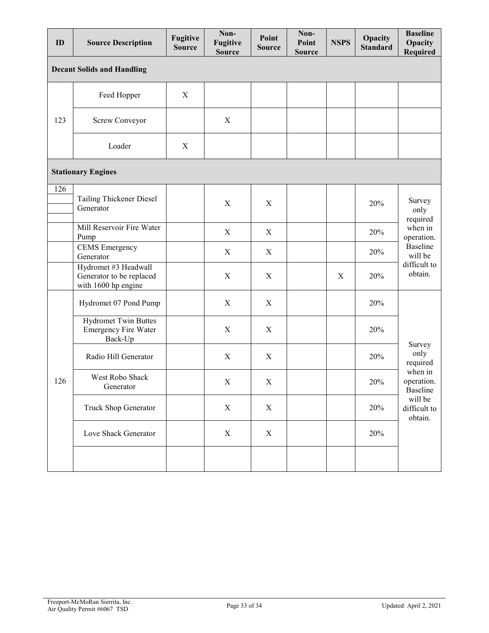| ID                                | <b>Source Description</b>                                               | <b>Fugitive</b><br><b>Source</b> | Non-<br><b>Fugitive</b><br><b>Source</b> | Point<br><b>Source</b>    | Non-<br>Point<br><b>Source</b> | <b>NSPS</b>      | Opacity<br><b>Standard</b> | <b>Baseline</b><br>Opacity<br><b>Required</b>                                                         |  |  |  |
|-----------------------------------|-------------------------------------------------------------------------|----------------------------------|------------------------------------------|---------------------------|--------------------------------|------------------|----------------------------|-------------------------------------------------------------------------------------------------------|--|--|--|
| <b>Decant Solids and Handling</b> |                                                                         |                                  |                                          |                           |                                |                  |                            |                                                                                                       |  |  |  |
| 123                               | Feed Hopper                                                             | X                                |                                          |                           |                                |                  |                            |                                                                                                       |  |  |  |
|                                   | Screw Conveyor                                                          |                                  | X                                        |                           |                                |                  |                            |                                                                                                       |  |  |  |
|                                   | Loader                                                                  | X                                |                                          |                           |                                |                  |                            |                                                                                                       |  |  |  |
| <b>Stationary Engines</b>         |                                                                         |                                  |                                          |                           |                                |                  |                            |                                                                                                       |  |  |  |
| 126                               | Tailing Thickener Diesel<br>Generator                                   |                                  | $\mathbf X$                              | $\boldsymbol{X}$          |                                |                  | 20%                        | Survey<br>only<br>required<br>when in<br>operation.<br>Baseline<br>will be<br>difficult to<br>obtain. |  |  |  |
|                                   | Mill Reservoir Fire Water<br>Pump                                       |                                  | X                                        | $\boldsymbol{\mathrm{X}}$ |                                |                  | 20%                        |                                                                                                       |  |  |  |
|                                   | <b>CEMS</b> Emergency<br>Generator                                      |                                  | X                                        | X                         |                                |                  | 20%                        |                                                                                                       |  |  |  |
|                                   | Hydromet #3 Headwall<br>Generator to be replaced<br>with 1600 hp engine |                                  | $\mathbf X$                              | $\boldsymbol{X}$          |                                | $\boldsymbol{X}$ | 20%                        |                                                                                                       |  |  |  |
| 126                               | Hydromet 07 Pond Pump                                                   |                                  | $\mathbf X$                              | $\mathbf X$               |                                |                  | 20%                        | Survey<br>only<br>required<br>when in<br>operation.<br>Baseline<br>will be<br>difficult to<br>obtain. |  |  |  |
|                                   | <b>Hydromet Twin Buttes</b><br><b>Emergency Fire Water</b><br>Back-Up   |                                  | $\mathbf X$                              | $\boldsymbol{X}$          |                                |                  | 20%                        |                                                                                                       |  |  |  |
|                                   | Radio Hill Generator                                                    |                                  | $\mathbf X$                              | X                         |                                |                  | 20%                        |                                                                                                       |  |  |  |
|                                   | West Robo Shack<br>Generator                                            |                                  | X                                        | $\mathbf X$               |                                |                  | $20\%$                     |                                                                                                       |  |  |  |
|                                   | Truck Shop Generator                                                    |                                  | $\mathbf X$                              | $\mathbf X$               |                                |                  | 20%                        |                                                                                                       |  |  |  |
|                                   | Love Shack Generator                                                    |                                  | $\mathbf X$                              | $\mathbf X$               |                                |                  | 20%                        |                                                                                                       |  |  |  |
|                                   |                                                                         |                                  |                                          |                           |                                |                  |                            |                                                                                                       |  |  |  |